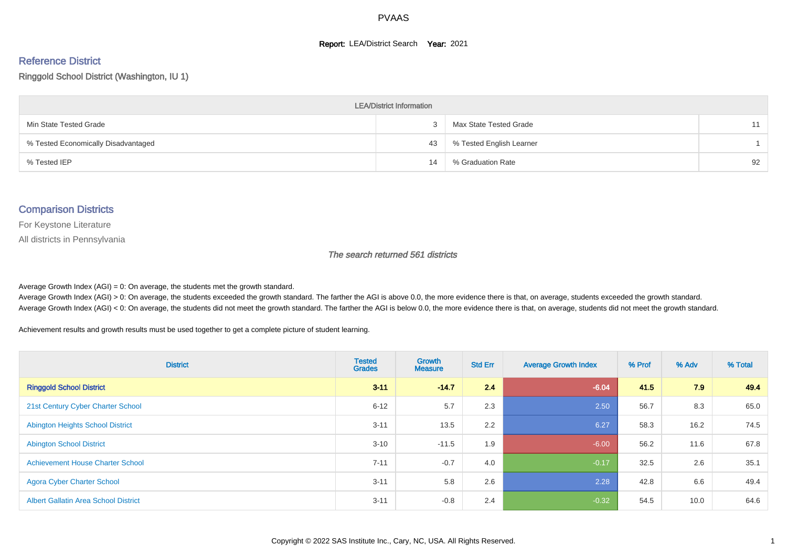#### **Report: LEA/District Search Year: 2021**

# Reference District

#### Ringgold School District (Washington, IU 1)

| <b>LEA/District Information</b>     |    |                          |    |  |  |  |  |  |  |  |
|-------------------------------------|----|--------------------------|----|--|--|--|--|--|--|--|
| Min State Tested Grade              |    | Max State Tested Grade   | 11 |  |  |  |  |  |  |  |
| % Tested Economically Disadvantaged | 43 | % Tested English Learner |    |  |  |  |  |  |  |  |
| % Tested IEP                        | 14 | % Graduation Rate        | 92 |  |  |  |  |  |  |  |

#### Comparison Districts

For Keystone Literature

All districts in Pennsylvania

The search returned 561 districts

Average Growth Index  $(AGI) = 0$ : On average, the students met the growth standard.

Average Growth Index (AGI) > 0: On average, the students exceeded the growth standard. The farther the AGI is above 0.0, the more evidence there is that, on average, students exceeded the growth standard. Average Growth Index (AGI) < 0: On average, the students did not meet the growth standard. The farther the AGI is below 0.0, the more evidence there is that, on average, students did not meet the growth standard.

Achievement results and growth results must be used together to get a complete picture of student learning.

| <b>District</b>                             | <b>Tested</b><br><b>Grades</b> | Growth<br><b>Measure</b> | <b>Std Err</b> | <b>Average Growth Index</b> | % Prof | % Adv | % Total |
|---------------------------------------------|--------------------------------|--------------------------|----------------|-----------------------------|--------|-------|---------|
| <b>Ringgold School District</b>             | $3 - 11$                       | $-14.7$                  | 2.4            | $-6.04$                     | 41.5   | 7.9   | 49.4    |
| 21st Century Cyber Charter School           | $6 - 12$                       | 5.7                      | 2.3            | 2.50                        | 56.7   | 8.3   | 65.0    |
| <b>Abington Heights School District</b>     | $3 - 11$                       | 13.5                     | 2.2            | 6.27                        | 58.3   | 16.2  | 74.5    |
| <b>Abington School District</b>             | $3 - 10$                       | $-11.5$                  | 1.9            | $-6.00$                     | 56.2   | 11.6  | 67.8    |
| <b>Achievement House Charter School</b>     | $7 - 11$                       | $-0.7$                   | 4.0            | $-0.17$                     | 32.5   | 2.6   | 35.1    |
| <b>Agora Cyber Charter School</b>           | $3 - 11$                       | 5.8                      | 2.6            | 2.28                        | 42.8   | 6.6   | 49.4    |
| <b>Albert Gallatin Area School District</b> | $3 - 11$                       | $-0.8$                   | 2.4            | $-0.32$                     | 54.5   | 10.0  | 64.6    |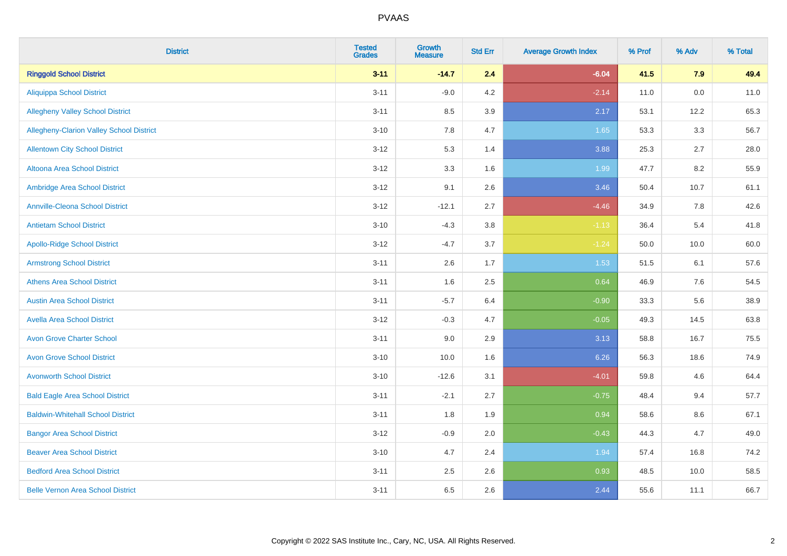| <b>District</b>                          | <b>Tested</b><br><b>Grades</b> | Growth<br><b>Measure</b> | <b>Std Err</b> | <b>Average Growth Index</b> | % Prof | % Adv   | % Total |
|------------------------------------------|--------------------------------|--------------------------|----------------|-----------------------------|--------|---------|---------|
| <b>Ringgold School District</b>          | $3 - 11$                       | $-14.7$                  | 2.4            | $-6.04$                     | 41.5   | 7.9     | 49.4    |
| <b>Aliquippa School District</b>         | $3 - 11$                       | $-9.0$                   | 4.2            | $-2.14$                     | 11.0   | $0.0\,$ | 11.0    |
| <b>Allegheny Valley School District</b>  | $3 - 11$                       | 8.5                      | 3.9            | 2.17                        | 53.1   | 12.2    | 65.3    |
| Allegheny-Clarion Valley School District | $3 - 10$                       | 7.8                      | 4.7            | 1.65                        | 53.3   | 3.3     | 56.7    |
| <b>Allentown City School District</b>    | $3 - 12$                       | 5.3                      | 1.4            | 3.88                        | 25.3   | 2.7     | 28.0    |
| <b>Altoona Area School District</b>      | $3 - 12$                       | 3.3                      | 1.6            | 1.99                        | 47.7   | 8.2     | 55.9    |
| Ambridge Area School District            | $3 - 12$                       | 9.1                      | 2.6            | 3.46                        | 50.4   | 10.7    | 61.1    |
| <b>Annville-Cleona School District</b>   | $3 - 12$                       | $-12.1$                  | 2.7            | $-4.46$                     | 34.9   | 7.8     | 42.6    |
| <b>Antietam School District</b>          | $3 - 10$                       | $-4.3$                   | $3.8\,$        | $-1.13$                     | 36.4   | 5.4     | 41.8    |
| <b>Apollo-Ridge School District</b>      | $3 - 12$                       | $-4.7$                   | 3.7            | $-1.24$                     | 50.0   | 10.0    | 60.0    |
| <b>Armstrong School District</b>         | $3 - 11$                       | 2.6                      | 1.7            | 1.53                        | 51.5   | 6.1     | 57.6    |
| <b>Athens Area School District</b>       | $3 - 11$                       | 1.6                      | 2.5            | 0.64                        | 46.9   | 7.6     | 54.5    |
| <b>Austin Area School District</b>       | $3 - 11$                       | $-5.7$                   | 6.4            | $-0.90$                     | 33.3   | 5.6     | 38.9    |
| <b>Avella Area School District</b>       | $3 - 12$                       | $-0.3$                   | 4.7            | $-0.05$                     | 49.3   | 14.5    | 63.8    |
| <b>Avon Grove Charter School</b>         | $3 - 11$                       | 9.0                      | 2.9            | 3.13                        | 58.8   | 16.7    | 75.5    |
| <b>Avon Grove School District</b>        | $3 - 10$                       | 10.0                     | 1.6            | 6.26                        | 56.3   | 18.6    | 74.9    |
| <b>Avonworth School District</b>         | $3 - 10$                       | $-12.6$                  | 3.1            | $-4.01$                     | 59.8   | 4.6     | 64.4    |
| <b>Bald Eagle Area School District</b>   | $3 - 11$                       | $-2.1$                   | 2.7            | $-0.75$                     | 48.4   | 9.4     | 57.7    |
| <b>Baldwin-Whitehall School District</b> | $3 - 11$                       | 1.8                      | 1.9            | 0.94                        | 58.6   | 8.6     | 67.1    |
| <b>Bangor Area School District</b>       | $3 - 12$                       | $-0.9$                   | 2.0            | $-0.43$                     | 44.3   | 4.7     | 49.0    |
| <b>Beaver Area School District</b>       | $3 - 10$                       | 4.7                      | 2.4            | 1.94                        | 57.4   | 16.8    | 74.2    |
| <b>Bedford Area School District</b>      | $3 - 11$                       | 2.5                      | 2.6            | 0.93                        | 48.5   | 10.0    | 58.5    |
| <b>Belle Vernon Area School District</b> | $3 - 11$                       | 6.5                      | 2.6            | 2.44                        | 55.6   | 11.1    | 66.7    |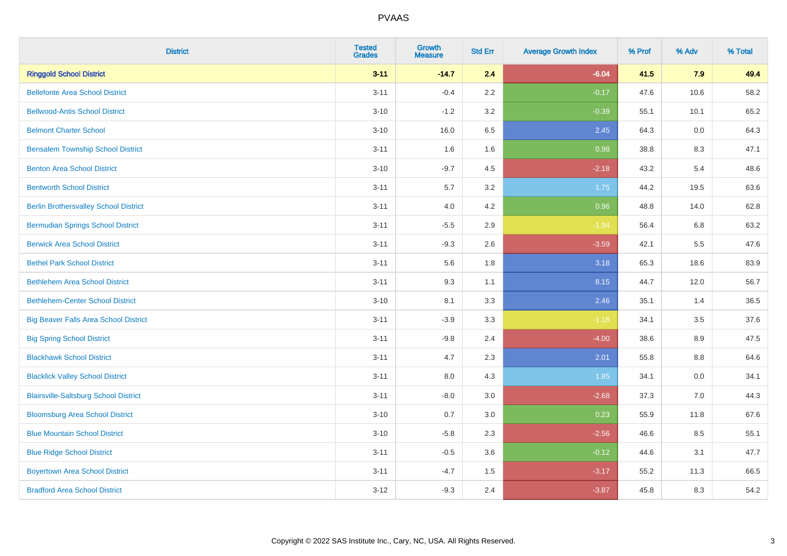| <b>District</b>                              | <b>Tested</b><br><b>Grades</b> | <b>Growth</b><br><b>Measure</b> | <b>Std Err</b> | <b>Average Growth Index</b> | % Prof | % Adv | % Total |
|----------------------------------------------|--------------------------------|---------------------------------|----------------|-----------------------------|--------|-------|---------|
| <b>Ringgold School District</b>              | $3 - 11$                       | $-14.7$                         | 2.4            | $-6.04$                     | 41.5   | 7.9   | 49.4    |
| <b>Bellefonte Area School District</b>       | $3 - 11$                       | $-0.4$                          | 2.2            | $-0.17$                     | 47.6   | 10.6  | 58.2    |
| <b>Bellwood-Antis School District</b>        | $3 - 10$                       | $-1.2$                          | 3.2            | $-0.39$                     | 55.1   | 10.1  | 65.2    |
| <b>Belmont Charter School</b>                | $3 - 10$                       | 16.0                            | 6.5            | 2.45                        | 64.3   | 0.0   | 64.3    |
| <b>Bensalem Township School District</b>     | $3 - 11$                       | 1.6                             | 1.6            | 0.98                        | 38.8   | 8.3   | 47.1    |
| <b>Benton Area School District</b>           | $3 - 10$                       | $-9.7$                          | 4.5            | $-2.18$                     | 43.2   | 5.4   | 48.6    |
| <b>Bentworth School District</b>             | $3 - 11$                       | 5.7                             | 3.2            | 1.75                        | 44.2   | 19.5  | 63.6    |
| <b>Berlin Brothersvalley School District</b> | $3 - 11$                       | 4.0                             | 4.2            | 0.96                        | 48.8   | 14.0  | 62.8    |
| <b>Bermudian Springs School District</b>     | $3 - 11$                       | $-5.5$                          | 2.9            | $-1.94$                     | 56.4   | 6.8   | 63.2    |
| <b>Berwick Area School District</b>          | $3 - 11$                       | $-9.3$                          | 2.6            | $-3.59$                     | 42.1   | 5.5   | 47.6    |
| <b>Bethel Park School District</b>           | $3 - 11$                       | 5.6                             | 1.8            | 3.18                        | 65.3   | 18.6  | 83.9    |
| <b>Bethlehem Area School District</b>        | $3 - 11$                       | 9.3                             | 1.1            | 8.15                        | 44.7   | 12.0  | 56.7    |
| <b>Bethlehem-Center School District</b>      | $3 - 10$                       | 8.1                             | 3.3            | 2.46                        | 35.1   | 1.4   | 36.5    |
| <b>Big Beaver Falls Area School District</b> | $3 - 11$                       | $-3.9$                          | 3.3            | $-1.18$                     | 34.1   | 3.5   | 37.6    |
| <b>Big Spring School District</b>            | $3 - 11$                       | $-9.8$                          | 2.4            | $-4.00$                     | 38.6   | 8.9   | 47.5    |
| <b>Blackhawk School District</b>             | $3 - 11$                       | 4.7                             | 2.3            | 2.01                        | 55.8   | 8.8   | 64.6    |
| <b>Blacklick Valley School District</b>      | $3 - 11$                       | 8.0                             | 4.3            | 1.85                        | 34.1   | 0.0   | 34.1    |
| <b>Blairsville-Saltsburg School District</b> | $3 - 11$                       | $-8.0$                          | 3.0            | $-2.68$                     | 37.3   | 7.0   | 44.3    |
| <b>Bloomsburg Area School District</b>       | $3 - 10$                       | 0.7                             | 3.0            | 0.23                        | 55.9   | 11.8  | 67.6    |
| <b>Blue Mountain School District</b>         | $3 - 10$                       | $-5.8$                          | 2.3            | $-2.56$                     | 46.6   | 8.5   | 55.1    |
| <b>Blue Ridge School District</b>            | $3 - 11$                       | $-0.5$                          | 3.6            | $-0.12$                     | 44.6   | 3.1   | 47.7    |
| <b>Boyertown Area School District</b>        | $3 - 11$                       | $-4.7$                          | 1.5            | $-3.17$                     | 55.2   | 11.3  | 66.5    |
| <b>Bradford Area School District</b>         | $3 - 12$                       | $-9.3$                          | 2.4            | $-3.87$                     | 45.8   | 8.3   | 54.2    |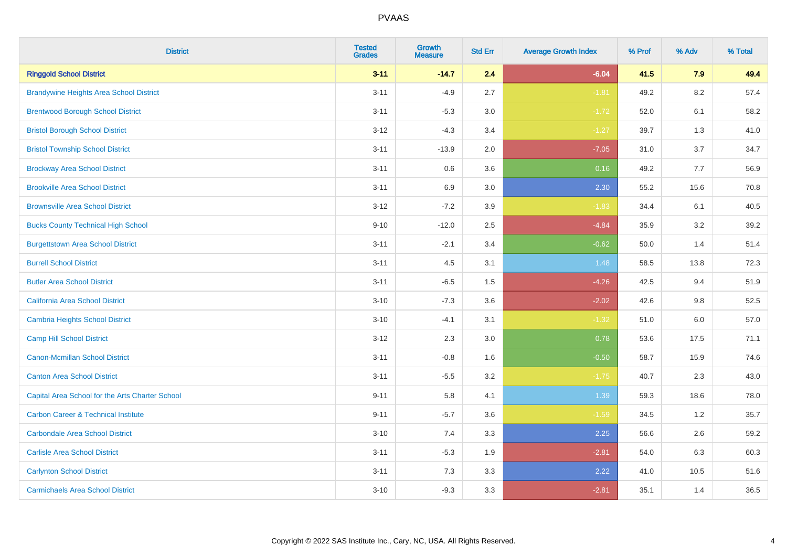| <b>District</b>                                 | <b>Tested</b><br><b>Grades</b> | <b>Growth</b><br><b>Measure</b> | <b>Std Err</b> | <b>Average Growth Index</b> | % Prof | % Adv   | % Total |
|-------------------------------------------------|--------------------------------|---------------------------------|----------------|-----------------------------|--------|---------|---------|
| <b>Ringgold School District</b>                 | $3 - 11$                       | $-14.7$                         | 2.4            | $-6.04$                     | 41.5   | 7.9     | 49.4    |
| <b>Brandywine Heights Area School District</b>  | $3 - 11$                       | $-4.9$                          | 2.7            | $-1.81$                     | 49.2   | 8.2     | 57.4    |
| <b>Brentwood Borough School District</b>        | $3 - 11$                       | $-5.3$                          | 3.0            | $-1.72$                     | 52.0   | 6.1     | 58.2    |
| <b>Bristol Borough School District</b>          | $3 - 12$                       | $-4.3$                          | 3.4            | $-1.27$                     | 39.7   | 1.3     | 41.0    |
| <b>Bristol Township School District</b>         | $3 - 11$                       | $-13.9$                         | 2.0            | $-7.05$                     | 31.0   | 3.7     | 34.7    |
| <b>Brockway Area School District</b>            | $3 - 11$                       | 0.6                             | 3.6            | 0.16                        | 49.2   | 7.7     | 56.9    |
| <b>Brookville Area School District</b>          | $3 - 11$                       | 6.9                             | 3.0            | 2.30                        | 55.2   | 15.6    | 70.8    |
| <b>Brownsville Area School District</b>         | $3 - 12$                       | $-7.2$                          | 3.9            | $-1.83$                     | 34.4   | 6.1     | 40.5    |
| <b>Bucks County Technical High School</b>       | $9 - 10$                       | $-12.0$                         | 2.5            | $-4.84$                     | 35.9   | 3.2     | 39.2    |
| <b>Burgettstown Area School District</b>        | $3 - 11$                       | $-2.1$                          | 3.4            | $-0.62$                     | 50.0   | 1.4     | 51.4    |
| <b>Burrell School District</b>                  | $3 - 11$                       | 4.5                             | 3.1            | 1.48                        | 58.5   | 13.8    | 72.3    |
| <b>Butler Area School District</b>              | $3 - 11$                       | $-6.5$                          | 1.5            | $-4.26$                     | 42.5   | 9.4     | 51.9    |
| California Area School District                 | $3 - 10$                       | $-7.3$                          | 3.6            | $-2.02$                     | 42.6   | 9.8     | 52.5    |
| <b>Cambria Heights School District</b>          | $3 - 10$                       | $-4.1$                          | 3.1            | $-1.32$                     | 51.0   | $6.0\,$ | 57.0    |
| <b>Camp Hill School District</b>                | $3 - 12$                       | 2.3                             | 3.0            | 0.78                        | 53.6   | 17.5    | 71.1    |
| Canon-Mcmillan School District                  | $3 - 11$                       | $-0.8$                          | 1.6            | $-0.50$                     | 58.7   | 15.9    | 74.6    |
| <b>Canton Area School District</b>              | $3 - 11$                       | $-5.5$                          | 3.2            | $-1.75$                     | 40.7   | 2.3     | 43.0    |
| Capital Area School for the Arts Charter School | $9 - 11$                       | 5.8                             | 4.1            | 1.39                        | 59.3   | 18.6    | 78.0    |
| <b>Carbon Career &amp; Technical Institute</b>  | $9 - 11$                       | $-5.7$                          | 3.6            | $-1.59$                     | 34.5   | 1.2     | 35.7    |
| <b>Carbondale Area School District</b>          | $3 - 10$                       | 7.4                             | 3.3            | 2.25                        | 56.6   | 2.6     | 59.2    |
| <b>Carlisle Area School District</b>            | $3 - 11$                       | $-5.3$                          | 1.9            | $-2.81$                     | 54.0   | 6.3     | 60.3    |
| <b>Carlynton School District</b>                | $3 - 11$                       | 7.3                             | 3.3            | 2.22                        | 41.0   | 10.5    | 51.6    |
| <b>Carmichaels Area School District</b>         | $3 - 10$                       | $-9.3$                          | 3.3            | $-2.81$                     | 35.1   | 1.4     | 36.5    |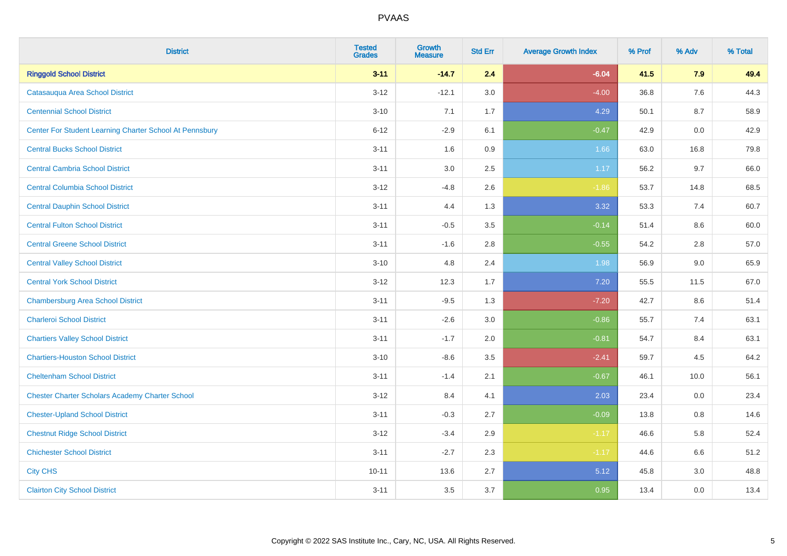| <b>District</b>                                         | <b>Tested</b><br><b>Grades</b> | <b>Growth</b><br><b>Measure</b> | <b>Std Err</b> | <b>Average Growth Index</b> | % Prof | % Adv | % Total |
|---------------------------------------------------------|--------------------------------|---------------------------------|----------------|-----------------------------|--------|-------|---------|
| <b>Ringgold School District</b>                         | $3 - 11$                       | $-14.7$                         | 2.4            | $-6.04$                     | 41.5   | 7.9   | 49.4    |
| Catasaugua Area School District                         | $3 - 12$                       | $-12.1$                         | 3.0            | $-4.00$                     | 36.8   | 7.6   | 44.3    |
| <b>Centennial School District</b>                       | $3 - 10$                       | 7.1                             | 1.7            | 4.29                        | 50.1   | 8.7   | 58.9    |
| Center For Student Learning Charter School At Pennsbury | $6 - 12$                       | $-2.9$                          | 6.1            | $-0.47$                     | 42.9   | 0.0   | 42.9    |
| <b>Central Bucks School District</b>                    | $3 - 11$                       | 1.6                             | 0.9            | 1.66                        | 63.0   | 16.8  | 79.8    |
| <b>Central Cambria School District</b>                  | $3 - 11$                       | 3.0                             | 2.5            | 1.17                        | 56.2   | 9.7   | 66.0    |
| <b>Central Columbia School District</b>                 | $3 - 12$                       | $-4.8$                          | 2.6            | $-1.86$                     | 53.7   | 14.8  | 68.5    |
| <b>Central Dauphin School District</b>                  | $3 - 11$                       | 4.4                             | 1.3            | 3.32                        | 53.3   | 7.4   | 60.7    |
| <b>Central Fulton School District</b>                   | $3 - 11$                       | $-0.5$                          | 3.5            | $-0.14$                     | 51.4   | 8.6   | 60.0    |
| <b>Central Greene School District</b>                   | $3 - 11$                       | $-1.6$                          | 2.8            | $-0.55$                     | 54.2   | 2.8   | 57.0    |
| <b>Central Valley School District</b>                   | $3 - 10$                       | 4.8                             | 2.4            | 1.98                        | 56.9   | 9.0   | 65.9    |
| <b>Central York School District</b>                     | $3 - 12$                       | 12.3                            | 1.7            | 7.20                        | 55.5   | 11.5  | 67.0    |
| <b>Chambersburg Area School District</b>                | $3 - 11$                       | $-9.5$                          | 1.3            | $-7.20$                     | 42.7   | 8.6   | 51.4    |
| <b>Charleroi School District</b>                        | $3 - 11$                       | $-2.6$                          | 3.0            | $-0.86$                     | 55.7   | 7.4   | 63.1    |
| <b>Chartiers Valley School District</b>                 | $3 - 11$                       | $-1.7$                          | 2.0            | $-0.81$                     | 54.7   | 8.4   | 63.1    |
| <b>Chartiers-Houston School District</b>                | $3 - 10$                       | $-8.6$                          | 3.5            | $-2.41$                     | 59.7   | 4.5   | 64.2    |
| <b>Cheltenham School District</b>                       | $3 - 11$                       | $-1.4$                          | 2.1            | $-0.67$                     | 46.1   | 10.0  | 56.1    |
| <b>Chester Charter Scholars Academy Charter School</b>  | $3 - 12$                       | 8.4                             | 4.1            | 2.03                        | 23.4   | 0.0   | 23.4    |
| <b>Chester-Upland School District</b>                   | $3 - 11$                       | $-0.3$                          | 2.7            | $-0.09$                     | 13.8   | 0.8   | 14.6    |
| <b>Chestnut Ridge School District</b>                   | $3 - 12$                       | $-3.4$                          | 2.9            | $-1.17$                     | 46.6   | 5.8   | 52.4    |
| <b>Chichester School District</b>                       | $3 - 11$                       | $-2.7$                          | 2.3            | $-1.17$                     | 44.6   | 6.6   | 51.2    |
| <b>City CHS</b>                                         | $10 - 11$                      | 13.6                            | 2.7            | 5.12                        | 45.8   | 3.0   | 48.8    |
| <b>Clairton City School District</b>                    | $3 - 11$                       | 3.5                             | 3.7            | 0.95                        | 13.4   | 0.0   | 13.4    |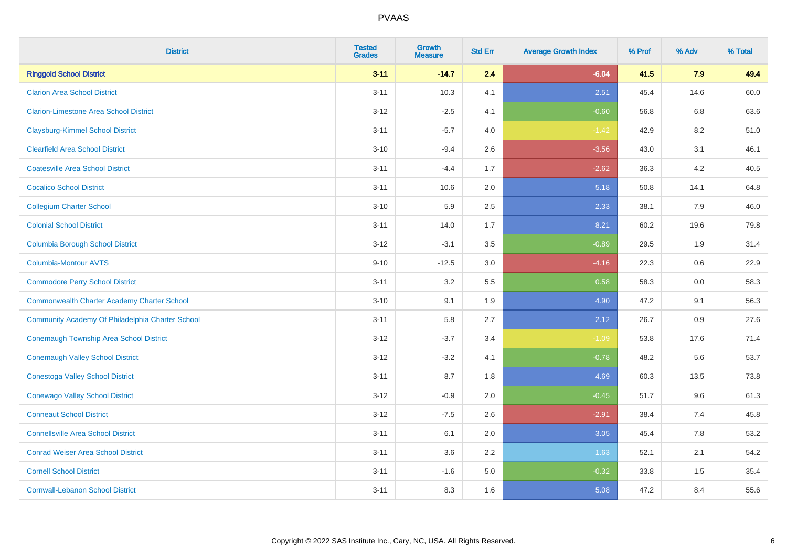| <b>District</b>                                    | <b>Tested</b><br><b>Grades</b> | <b>Growth</b><br><b>Measure</b> | <b>Std Err</b> | <b>Average Growth Index</b> | % Prof | % Adv | % Total |
|----------------------------------------------------|--------------------------------|---------------------------------|----------------|-----------------------------|--------|-------|---------|
| <b>Ringgold School District</b>                    | $3 - 11$                       | $-14.7$                         | 2.4            | $-6.04$                     | 41.5   | 7.9   | 49.4    |
| <b>Clarion Area School District</b>                | $3 - 11$                       | 10.3                            | 4.1            | 2.51                        | 45.4   | 14.6  | 60.0    |
| <b>Clarion-Limestone Area School District</b>      | $3-12$                         | $-2.5$                          | 4.1            | $-0.60$                     | 56.8   | 6.8   | 63.6    |
| <b>Claysburg-Kimmel School District</b>            | $3 - 11$                       | $-5.7$                          | 4.0            | $-1.42$                     | 42.9   | 8.2   | 51.0    |
| <b>Clearfield Area School District</b>             | $3 - 10$                       | $-9.4$                          | 2.6            | $-3.56$                     | 43.0   | 3.1   | 46.1    |
| <b>Coatesville Area School District</b>            | $3 - 11$                       | $-4.4$                          | 1.7            | $-2.62$                     | 36.3   | 4.2   | 40.5    |
| <b>Cocalico School District</b>                    | $3 - 11$                       | 10.6                            | 2.0            | 5.18                        | 50.8   | 14.1  | 64.8    |
| <b>Collegium Charter School</b>                    | $3 - 10$                       | 5.9                             | 2.5            | 2.33                        | 38.1   | 7.9   | 46.0    |
| <b>Colonial School District</b>                    | $3 - 11$                       | 14.0                            | 1.7            | 8.21                        | 60.2   | 19.6  | 79.8    |
| <b>Columbia Borough School District</b>            | $3 - 12$                       | $-3.1$                          | 3.5            | $-0.89$                     | 29.5   | 1.9   | 31.4    |
| Columbia-Montour AVTS                              | $9 - 10$                       | $-12.5$                         | 3.0            | $-4.16$                     | 22.3   | 0.6   | 22.9    |
| <b>Commodore Perry School District</b>             | $3 - 11$                       | 3.2                             | 5.5            | 0.58                        | 58.3   | 0.0   | 58.3    |
| <b>Commonwealth Charter Academy Charter School</b> | $3 - 10$                       | 9.1                             | 1.9            | 4.90                        | 47.2   | 9.1   | 56.3    |
| Community Academy Of Philadelphia Charter School   | $3 - 11$                       | 5.8                             | 2.7            | 2.12                        | 26.7   | 0.9   | 27.6    |
| <b>Conemaugh Township Area School District</b>     | $3 - 12$                       | $-3.7$                          | 3.4            | $-1.09$                     | 53.8   | 17.6  | 71.4    |
| <b>Conemaugh Valley School District</b>            | $3-12$                         | $-3.2$                          | 4.1            | $-0.78$                     | 48.2   | 5.6   | 53.7    |
| <b>Conestoga Valley School District</b>            | $3 - 11$                       | 8.7                             | 1.8            | 4.69                        | 60.3   | 13.5  | 73.8    |
| <b>Conewago Valley School District</b>             | $3 - 12$                       | $-0.9$                          | 2.0            | $-0.45$                     | 51.7   | 9.6   | 61.3    |
| <b>Conneaut School District</b>                    | $3-12$                         | $-7.5$                          | 2.6            | $-2.91$                     | 38.4   | 7.4   | 45.8    |
| <b>Connellsville Area School District</b>          | $3 - 11$                       | 6.1                             | 2.0            | 3.05                        | 45.4   | 7.8   | 53.2    |
| <b>Conrad Weiser Area School District</b>          | $3 - 11$                       | 3.6                             | 2.2            | 1.63                        | 52.1   | 2.1   | 54.2    |
| <b>Cornell School District</b>                     | $3 - 11$                       | $-1.6$                          | 5.0            | $-0.32$                     | 33.8   | 1.5   | 35.4    |
| <b>Cornwall-Lebanon School District</b>            | $3 - 11$                       | 8.3                             | 1.6            | 5.08                        | 47.2   | 8.4   | 55.6    |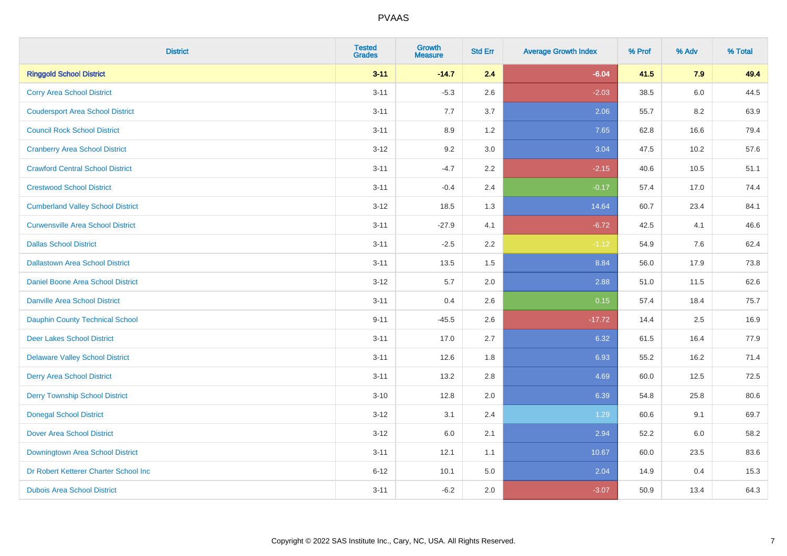| <b>District</b>                          | <b>Tested</b><br><b>Grades</b> | Growth<br><b>Measure</b> | <b>Std Err</b> | <b>Average Growth Index</b> | % Prof | % Adv   | % Total |
|------------------------------------------|--------------------------------|--------------------------|----------------|-----------------------------|--------|---------|---------|
| <b>Ringgold School District</b>          | $3 - 11$                       | $-14.7$                  | 2.4            | $-6.04$                     | 41.5   | 7.9     | 49.4    |
| <b>Corry Area School District</b>        | $3 - 11$                       | $-5.3$                   | 2.6            | $-2.03$                     | 38.5   | $6.0\,$ | 44.5    |
| <b>Coudersport Area School District</b>  | $3 - 11$                       | 7.7                      | 3.7            | 2.06                        | 55.7   | 8.2     | 63.9    |
| <b>Council Rock School District</b>      | $3 - 11$                       | 8.9                      | 1.2            | 7.65                        | 62.8   | 16.6    | 79.4    |
| <b>Cranberry Area School District</b>    | $3 - 12$                       | 9.2                      | 3.0            | 3.04                        | 47.5   | 10.2    | 57.6    |
| <b>Crawford Central School District</b>  | $3 - 11$                       | $-4.7$                   | 2.2            | $-2.15$                     | 40.6   | 10.5    | 51.1    |
| <b>Crestwood School District</b>         | $3 - 11$                       | $-0.4$                   | 2.4            | $-0.17$                     | 57.4   | 17.0    | 74.4    |
| <b>Cumberland Valley School District</b> | $3 - 12$                       | 18.5                     | 1.3            | 14.64                       | 60.7   | 23.4    | 84.1    |
| <b>Curwensville Area School District</b> | $3 - 11$                       | $-27.9$                  | 4.1            | $-6.72$                     | 42.5   | 4.1     | 46.6    |
| <b>Dallas School District</b>            | $3 - 11$                       | $-2.5$                   | 2.2            | $-1.12$                     | 54.9   | 7.6     | 62.4    |
| <b>Dallastown Area School District</b>   | $3 - 11$                       | 13.5                     | 1.5            | 8.84                        | 56.0   | 17.9    | 73.8    |
| <b>Daniel Boone Area School District</b> | $3 - 12$                       | 5.7                      | 2.0            | 2.88                        | 51.0   | 11.5    | 62.6    |
| <b>Danville Area School District</b>     | $3 - 11$                       | 0.4                      | 2.6            | 0.15                        | 57.4   | 18.4    | 75.7    |
| <b>Dauphin County Technical School</b>   | $9 - 11$                       | $-45.5$                  | 2.6            | $-17.72$                    | 14.4   | 2.5     | 16.9    |
| <b>Deer Lakes School District</b>        | $3 - 11$                       | 17.0                     | 2.7            | 6.32                        | 61.5   | 16.4    | 77.9    |
| <b>Delaware Valley School District</b>   | $3 - 11$                       | 12.6                     | 1.8            | 6.93                        | 55.2   | 16.2    | 71.4    |
| <b>Derry Area School District</b>        | $3 - 11$                       | 13.2                     | 2.8            | 4.69                        | 60.0   | 12.5    | 72.5    |
| <b>Derry Township School District</b>    | $3 - 10$                       | 12.8                     | 2.0            | 6.39                        | 54.8   | 25.8    | 80.6    |
| <b>Donegal School District</b>           | $3 - 12$                       | 3.1                      | 2.4            | 1.29                        | 60.6   | 9.1     | 69.7    |
| <b>Dover Area School District</b>        | $3 - 12$                       | $6.0\,$                  | 2.1            | 2.94                        | 52.2   | 6.0     | 58.2    |
| Downingtown Area School District         | $3 - 11$                       | 12.1                     | 1.1            | 10.67                       | 60.0   | 23.5    | 83.6    |
| Dr Robert Ketterer Charter School Inc    | $6 - 12$                       | 10.1                     | 5.0            | 2.04                        | 14.9   | 0.4     | 15.3    |
| <b>Dubois Area School District</b>       | $3 - 11$                       | $-6.2$                   | 2.0            | $-3.07$                     | 50.9   | 13.4    | 64.3    |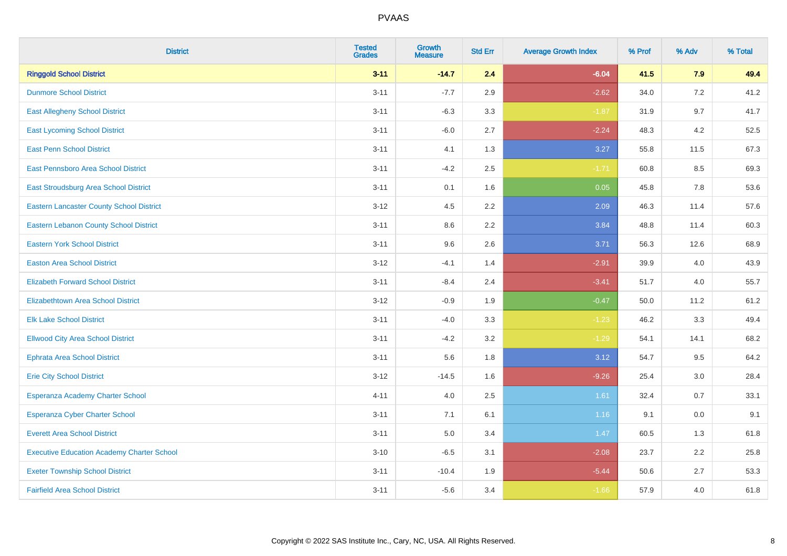| <b>District</b>                                   | <b>Tested</b><br><b>Grades</b> | <b>Growth</b><br><b>Measure</b> | <b>Std Err</b> | <b>Average Growth Index</b> | % Prof | % Adv   | % Total |
|---------------------------------------------------|--------------------------------|---------------------------------|----------------|-----------------------------|--------|---------|---------|
| <b>Ringgold School District</b>                   | $3 - 11$                       | $-14.7$                         | 2.4            | $-6.04$                     | 41.5   | 7.9     | 49.4    |
| <b>Dunmore School District</b>                    | $3 - 11$                       | $-7.7$                          | 2.9            | $-2.62$                     | 34.0   | 7.2     | 41.2    |
| <b>East Allegheny School District</b>             | $3 - 11$                       | $-6.3$                          | 3.3            | $-1.87$                     | 31.9   | 9.7     | 41.7    |
| <b>East Lycoming School District</b>              | $3 - 11$                       | $-6.0$                          | 2.7            | $-2.24$                     | 48.3   | 4.2     | 52.5    |
| <b>East Penn School District</b>                  | $3 - 11$                       | 4.1                             | 1.3            | 3.27                        | 55.8   | 11.5    | 67.3    |
| East Pennsboro Area School District               | $3 - 11$                       | $-4.2$                          | 2.5            | $-1.71$                     | 60.8   | 8.5     | 69.3    |
| East Stroudsburg Area School District             | $3 - 11$                       | 0.1                             | 1.6            | 0.05                        | 45.8   | 7.8     | 53.6    |
| <b>Eastern Lancaster County School District</b>   | $3 - 12$                       | 4.5                             | 2.2            | 2.09                        | 46.3   | 11.4    | 57.6    |
| <b>Eastern Lebanon County School District</b>     | $3 - 11$                       | 8.6                             | 2.2            | 3.84                        | 48.8   | 11.4    | 60.3    |
| <b>Eastern York School District</b>               | $3 - 11$                       | 9.6                             | 2.6            | 3.71                        | 56.3   | 12.6    | 68.9    |
| <b>Easton Area School District</b>                | $3 - 12$                       | $-4.1$                          | 1.4            | $-2.91$                     | 39.9   | 4.0     | 43.9    |
| <b>Elizabeth Forward School District</b>          | $3 - 11$                       | $-8.4$                          | 2.4            | $-3.41$                     | 51.7   | 4.0     | 55.7    |
| <b>Elizabethtown Area School District</b>         | $3 - 12$                       | $-0.9$                          | 1.9            | $-0.47$                     | 50.0   | 11.2    | 61.2    |
| <b>Elk Lake School District</b>                   | $3 - 11$                       | $-4.0$                          | 3.3            | $-1.23$                     | 46.2   | 3.3     | 49.4    |
| <b>Ellwood City Area School District</b>          | $3 - 11$                       | $-4.2$                          | 3.2            | $-1.29$                     | 54.1   | 14.1    | 68.2    |
| <b>Ephrata Area School District</b>               | $3 - 11$                       | 5.6                             | 1.8            | 3.12                        | 54.7   | 9.5     | 64.2    |
| <b>Erie City School District</b>                  | $3 - 12$                       | $-14.5$                         | 1.6            | $-9.26$                     | 25.4   | 3.0     | 28.4    |
| Esperanza Academy Charter School                  | $4 - 11$                       | 4.0                             | 2.5            | 1.61                        | 32.4   | 0.7     | 33.1    |
| <b>Esperanza Cyber Charter School</b>             | $3 - 11$                       | 7.1                             | 6.1            | 1.16                        | 9.1    | $0.0\,$ | 9.1     |
| <b>Everett Area School District</b>               | $3 - 11$                       | 5.0                             | 3.4            | 1.47                        | 60.5   | 1.3     | 61.8    |
| <b>Executive Education Academy Charter School</b> | $3 - 10$                       | $-6.5$                          | 3.1            | $-2.08$                     | 23.7   | 2.2     | 25.8    |
| <b>Exeter Township School District</b>            | $3 - 11$                       | $-10.4$                         | 1.9            | $-5.44$                     | 50.6   | 2.7     | 53.3    |
| <b>Fairfield Area School District</b>             | $3 - 11$                       | $-5.6$                          | 3.4            | $-1.66$                     | 57.9   | 4.0     | 61.8    |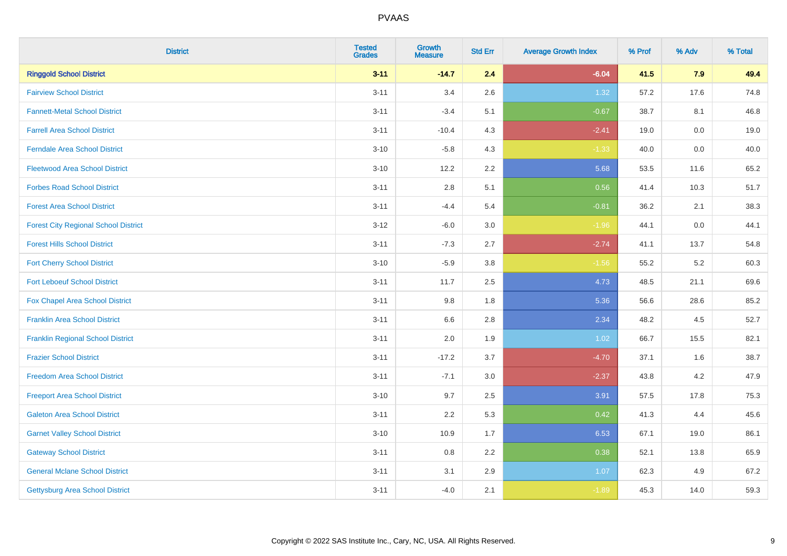| <b>District</b>                             | <b>Tested</b><br>Grades | <b>Growth</b><br><b>Measure</b> | <b>Std Err</b> | <b>Average Growth Index</b> | % Prof | % Adv   | % Total |
|---------------------------------------------|-------------------------|---------------------------------|----------------|-----------------------------|--------|---------|---------|
| <b>Ringgold School District</b>             | $3 - 11$                | $-14.7$                         | 2.4            | $-6.04$                     | 41.5   | 7.9     | 49.4    |
| <b>Fairview School District</b>             | $3 - 11$                | 3.4                             | 2.6            | 1.32                        | 57.2   | 17.6    | 74.8    |
| <b>Fannett-Metal School District</b>        | $3 - 11$                | $-3.4$                          | 5.1            | $-0.67$                     | 38.7   | 8.1     | 46.8    |
| <b>Farrell Area School District</b>         | $3 - 11$                | $-10.4$                         | 4.3            | $-2.41$                     | 19.0   | $0.0\,$ | 19.0    |
| <b>Ferndale Area School District</b>        | $3 - 10$                | $-5.8$                          | 4.3            | $-1.33$                     | 40.0   | 0.0     | 40.0    |
| <b>Fleetwood Area School District</b>       | $3 - 10$                | 12.2                            | 2.2            | 5.68                        | 53.5   | 11.6    | 65.2    |
| <b>Forbes Road School District</b>          | $3 - 11$                | 2.8                             | 5.1            | 0.56                        | 41.4   | 10.3    | 51.7    |
| <b>Forest Area School District</b>          | $3 - 11$                | $-4.4$                          | 5.4            | $-0.81$                     | 36.2   | 2.1     | 38.3    |
| <b>Forest City Regional School District</b> | $3 - 12$                | $-6.0$                          | 3.0            | $-1.96$                     | 44.1   | $0.0\,$ | 44.1    |
| <b>Forest Hills School District</b>         | $3 - 11$                | $-7.3$                          | 2.7            | $-2.74$                     | 41.1   | 13.7    | 54.8    |
| <b>Fort Cherry School District</b>          | $3 - 10$                | $-5.9$                          | 3.8            | $-1.56$                     | 55.2   | $5.2\,$ | 60.3    |
| <b>Fort Leboeuf School District</b>         | $3 - 11$                | 11.7                            | 2.5            | 4.73                        | 48.5   | 21.1    | 69.6    |
| Fox Chapel Area School District             | $3 - 11$                | 9.8                             | 1.8            | 5.36                        | 56.6   | 28.6    | 85.2    |
| <b>Franklin Area School District</b>        | $3 - 11$                | 6.6                             | 2.8            | 2.34                        | 48.2   | 4.5     | 52.7    |
| <b>Franklin Regional School District</b>    | $3 - 11$                | 2.0                             | 1.9            | 1.02                        | 66.7   | 15.5    | 82.1    |
| <b>Frazier School District</b>              | $3 - 11$                | $-17.2$                         | 3.7            | $-4.70$                     | 37.1   | 1.6     | 38.7    |
| <b>Freedom Area School District</b>         | $3 - 11$                | $-7.1$                          | 3.0            | $-2.37$                     | 43.8   | $4.2\,$ | 47.9    |
| <b>Freeport Area School District</b>        | $3 - 10$                | 9.7                             | 2.5            | 3.91                        | 57.5   | 17.8    | 75.3    |
| <b>Galeton Area School District</b>         | $3 - 11$                | 2.2                             | 5.3            | 0.42                        | 41.3   | 4.4     | 45.6    |
| <b>Garnet Valley School District</b>        | $3 - 10$                | 10.9                            | 1.7            | 6.53                        | 67.1   | 19.0    | 86.1    |
| <b>Gateway School District</b>              | $3 - 11$                | 0.8                             | 2.2            | 0.38                        | 52.1   | 13.8    | 65.9    |
| <b>General Mclane School District</b>       | $3 - 11$                | 3.1                             | 2.9            | 1.07                        | 62.3   | 4.9     | 67.2    |
| <b>Gettysburg Area School District</b>      | $3 - 11$                | $-4.0$                          | 2.1            | $-1.89$                     | 45.3   | 14.0    | 59.3    |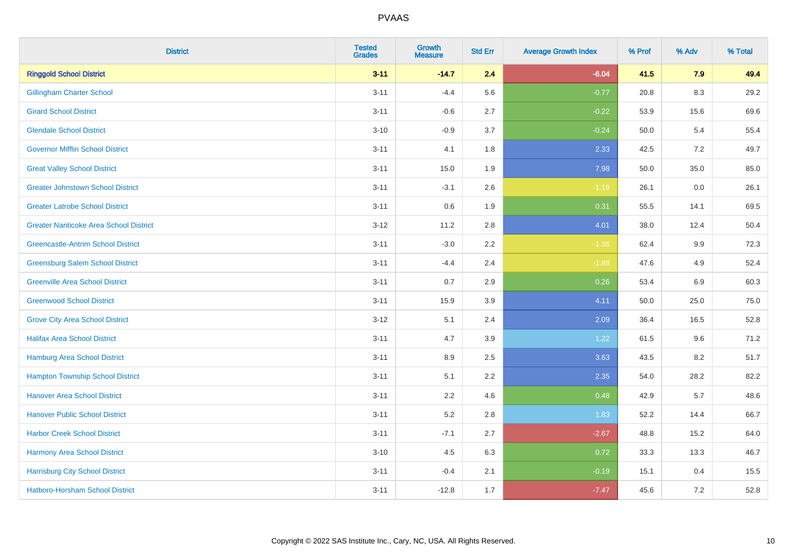| <b>District</b>                               | <b>Tested</b><br><b>Grades</b> | <b>Growth</b><br><b>Measure</b> | <b>Std Err</b> | <b>Average Growth Index</b> | % Prof | % Adv   | % Total |
|-----------------------------------------------|--------------------------------|---------------------------------|----------------|-----------------------------|--------|---------|---------|
| <b>Ringgold School District</b>               | $3 - 11$                       | $-14.7$                         | 2.4            | $-6.04$                     | 41.5   | 7.9     | 49.4    |
| <b>Gillingham Charter School</b>              | $3 - 11$                       | $-4.4$                          | 5.6            | $-0.77$                     | 20.8   | 8.3     | 29.2    |
| <b>Girard School District</b>                 | $3 - 11$                       | $-0.6$                          | 2.7            | $-0.22$                     | 53.9   | 15.6    | 69.6    |
| <b>Glendale School District</b>               | $3 - 10$                       | $-0.9$                          | 3.7            | $-0.24$                     | 50.0   | 5.4     | 55.4    |
| <b>Governor Mifflin School District</b>       | $3 - 11$                       | 4.1                             | 1.8            | 2.33                        | 42.5   | 7.2     | 49.7    |
| <b>Great Valley School District</b>           | $3 - 11$                       | 15.0                            | 1.9            | 7.98                        | 50.0   | 35.0    | 85.0    |
| <b>Greater Johnstown School District</b>      | $3 - 11$                       | $-3.1$                          | 2.6            | $-1.19$                     | 26.1   | $0.0\,$ | 26.1    |
| <b>Greater Latrobe School District</b>        | $3 - 11$                       | 0.6                             | 1.9            | 0.31                        | 55.5   | 14.1    | 69.5    |
| <b>Greater Nanticoke Area School District</b> | $3 - 12$                       | 11.2                            | 2.8            | 4.01                        | 38.0   | 12.4    | 50.4    |
| <b>Greencastle-Antrim School District</b>     | $3 - 11$                       | $-3.0$                          | $2.2\,$        | $-1.36$                     | 62.4   | 9.9     | 72.3    |
| <b>Greensburg Salem School District</b>       | $3 - 11$                       | $-4.4$                          | 2.4            | $-1.88$                     | 47.6   | 4.9     | 52.4    |
| <b>Greenville Area School District</b>        | $3 - 11$                       | 0.7                             | 2.9            | 0.26                        | 53.4   | 6.9     | 60.3    |
| <b>Greenwood School District</b>              | $3 - 11$                       | 15.9                            | 3.9            | 4.11                        | 50.0   | 25.0    | 75.0    |
| <b>Grove City Area School District</b>        | $3 - 12$                       | 5.1                             | 2.4            | 2.09                        | 36.4   | 16.5    | 52.8    |
| <b>Halifax Area School District</b>           | $3 - 11$                       | 4.7                             | 3.9            | 1.22                        | 61.5   | 9.6     | 71.2    |
| <b>Hamburg Area School District</b>           | $3 - 11$                       | 8.9                             | 2.5            | 3.63                        | 43.5   | 8.2     | 51.7    |
| <b>Hampton Township School District</b>       | $3 - 11$                       | 5.1                             | 2.2            | 2.35                        | 54.0   | 28.2    | 82.2    |
| <b>Hanover Area School District</b>           | $3 - 11$                       | 2.2                             | 4.6            | 0.48                        | 42.9   | 5.7     | 48.6    |
| <b>Hanover Public School District</b>         | $3 - 11$                       | 5.2                             | 2.8            | 1.83                        | 52.2   | 14.4    | 66.7    |
| <b>Harbor Creek School District</b>           | $3 - 11$                       | $-7.1$                          | 2.7            | $-2.67$                     | 48.8   | 15.2    | 64.0    |
| Harmony Area School District                  | $3 - 10$                       | 4.5                             | 6.3            | 0.72                        | 33.3   | 13.3    | 46.7    |
| <b>Harrisburg City School District</b>        | $3 - 11$                       | $-0.4$                          | 2.1            | $-0.19$                     | 15.1   | 0.4     | 15.5    |
| Hatboro-Horsham School District               | $3 - 11$                       | $-12.8$                         | 1.7            | $-7.47$                     | 45.6   | 7.2     | 52.8    |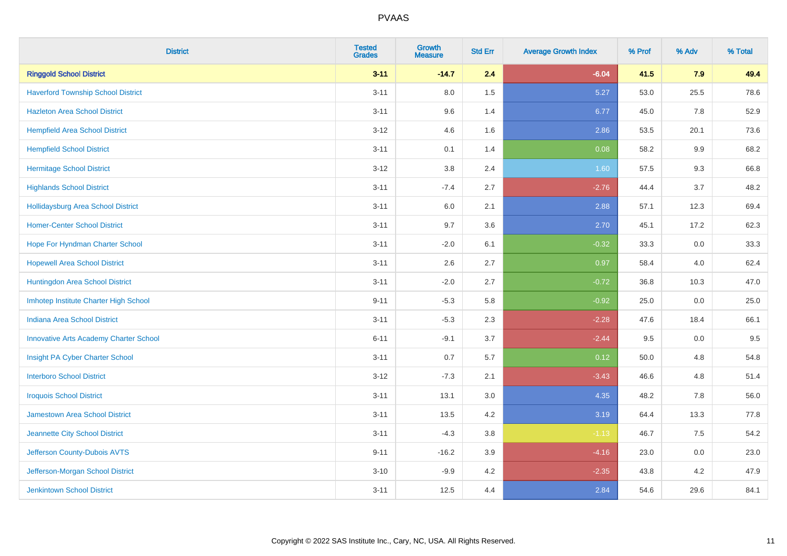| <b>District</b>                               | <b>Tested</b><br><b>Grades</b> | <b>Growth</b><br><b>Measure</b> | <b>Std Err</b> | <b>Average Growth Index</b> | % Prof | % Adv   | % Total |
|-----------------------------------------------|--------------------------------|---------------------------------|----------------|-----------------------------|--------|---------|---------|
| <b>Ringgold School District</b>               | $3 - 11$                       | $-14.7$                         | 2.4            | $-6.04$                     | 41.5   | 7.9     | 49.4    |
| <b>Haverford Township School District</b>     | $3 - 11$                       | 8.0                             | 1.5            | 5.27                        | 53.0   | 25.5    | 78.6    |
| <b>Hazleton Area School District</b>          | $3 - 11$                       | 9.6                             | 1.4            | 6.77                        | 45.0   | 7.8     | 52.9    |
| <b>Hempfield Area School District</b>         | $3 - 12$                       | 4.6                             | 1.6            | 2.86                        | 53.5   | 20.1    | 73.6    |
| <b>Hempfield School District</b>              | $3 - 11$                       | 0.1                             | 1.4            | 0.08                        | 58.2   | 9.9     | 68.2    |
| <b>Hermitage School District</b>              | $3 - 12$                       | 3.8                             | 2.4            | 1.60                        | 57.5   | 9.3     | 66.8    |
| <b>Highlands School District</b>              | $3 - 11$                       | $-7.4$                          | 2.7            | $-2.76$                     | 44.4   | 3.7     | 48.2    |
| <b>Hollidaysburg Area School District</b>     | $3 - 11$                       | 6.0                             | 2.1            | 2.88                        | 57.1   | 12.3    | 69.4    |
| <b>Homer-Center School District</b>           | $3 - 11$                       | 9.7                             | 3.6            | 2.70                        | 45.1   | 17.2    | 62.3    |
| Hope For Hyndman Charter School               | $3 - 11$                       | $-2.0$                          | 6.1            | $-0.32$                     | 33.3   | $0.0\,$ | 33.3    |
| <b>Hopewell Area School District</b>          | $3 - 11$                       | 2.6                             | 2.7            | 0.97                        | 58.4   | 4.0     | 62.4    |
| <b>Huntingdon Area School District</b>        | $3 - 11$                       | $-2.0$                          | 2.7            | $-0.72$                     | 36.8   | 10.3    | 47.0    |
| Imhotep Institute Charter High School         | $9 - 11$                       | $-5.3$                          | 5.8            | $-0.92$                     | 25.0   | $0.0\,$ | 25.0    |
| Indiana Area School District                  | $3 - 11$                       | $-5.3$                          | 2.3            | $-2.28$                     | 47.6   | 18.4    | 66.1    |
| <b>Innovative Arts Academy Charter School</b> | $6 - 11$                       | $-9.1$                          | 3.7            | $-2.44$                     | 9.5    | 0.0     | 9.5     |
| Insight PA Cyber Charter School               | $3 - 11$                       | 0.7                             | 5.7            | 0.12                        | 50.0   | 4.8     | 54.8    |
| <b>Interboro School District</b>              | $3-12$                         | $-7.3$                          | 2.1            | $-3.43$                     | 46.6   | 4.8     | 51.4    |
| <b>Iroquois School District</b>               | $3 - 11$                       | 13.1                            | 3.0            | 4.35                        | 48.2   | 7.8     | 56.0    |
| <b>Jamestown Area School District</b>         | $3 - 11$                       | 13.5                            | 4.2            | 3.19                        | 64.4   | 13.3    | 77.8    |
| Jeannette City School District                | $3 - 11$                       | $-4.3$                          | $3.8\,$        | $-1.13$                     | 46.7   | 7.5     | 54.2    |
| Jefferson County-Dubois AVTS                  | $9 - 11$                       | $-16.2$                         | 3.9            | $-4.16$                     | 23.0   | 0.0     | 23.0    |
| Jefferson-Morgan School District              | $3 - 10$                       | $-9.9$                          | 4.2            | $-2.35$                     | 43.8   | 4.2     | 47.9    |
| <b>Jenkintown School District</b>             | $3 - 11$                       | 12.5                            | 4.4            | 2.84                        | 54.6   | 29.6    | 84.1    |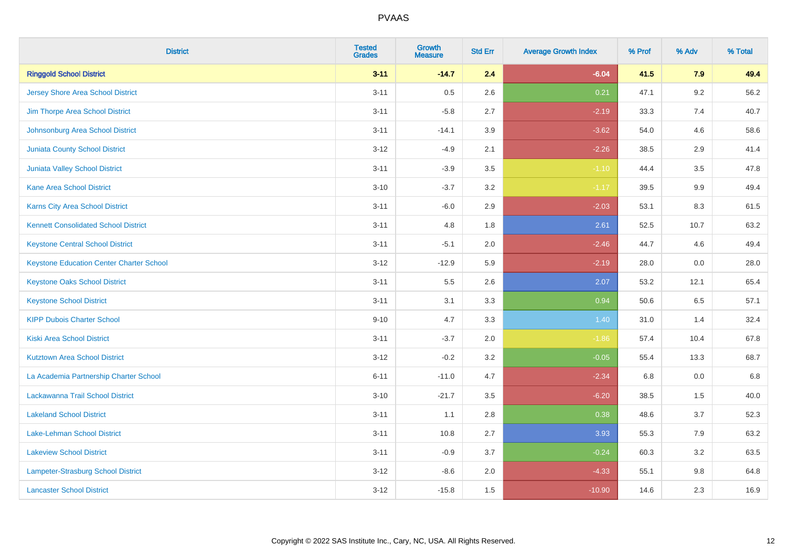| <b>District</b>                                 | <b>Tested</b><br><b>Grades</b> | <b>Growth</b><br><b>Measure</b> | <b>Std Err</b> | <b>Average Growth Index</b> | % Prof | % Adv | % Total |
|-------------------------------------------------|--------------------------------|---------------------------------|----------------|-----------------------------|--------|-------|---------|
| <b>Ringgold School District</b>                 | $3 - 11$                       | $-14.7$                         | 2.4            | $-6.04$                     | 41.5   | 7.9   | 49.4    |
| Jersey Shore Area School District               | $3 - 11$                       | 0.5                             | 2.6            | 0.21                        | 47.1   | 9.2   | 56.2    |
| Jim Thorpe Area School District                 | $3 - 11$                       | $-5.8$                          | 2.7            | $-2.19$                     | 33.3   | 7.4   | 40.7    |
| Johnsonburg Area School District                | $3 - 11$                       | $-14.1$                         | 3.9            | $-3.62$                     | 54.0   | 4.6   | 58.6    |
| <b>Juniata County School District</b>           | $3 - 12$                       | $-4.9$                          | 2.1            | $-2.26$                     | 38.5   | 2.9   | 41.4    |
| <b>Juniata Valley School District</b>           | $3 - 11$                       | $-3.9$                          | 3.5            | $-1.10$                     | 44.4   | 3.5   | 47.8    |
| <b>Kane Area School District</b>                | $3 - 10$                       | $-3.7$                          | 3.2            | $-1.17$                     | 39.5   | 9.9   | 49.4    |
| <b>Karns City Area School District</b>          | $3 - 11$                       | $-6.0$                          | 2.9            | $-2.03$                     | 53.1   | 8.3   | 61.5    |
| <b>Kennett Consolidated School District</b>     | $3 - 11$                       | 4.8                             | 1.8            | 2.61                        | 52.5   | 10.7  | 63.2    |
| <b>Keystone Central School District</b>         | $3 - 11$                       | $-5.1$                          | 2.0            | $-2.46$                     | 44.7   | 4.6   | 49.4    |
| <b>Keystone Education Center Charter School</b> | $3 - 12$                       | $-12.9$                         | 5.9            | $-2.19$                     | 28.0   | 0.0   | 28.0    |
| <b>Keystone Oaks School District</b>            | $3 - 11$                       | 5.5                             | 2.6            | 2.07                        | 53.2   | 12.1  | 65.4    |
| <b>Keystone School District</b>                 | $3 - 11$                       | 3.1                             | 3.3            | 0.94                        | 50.6   | 6.5   | 57.1    |
| <b>KIPP Dubois Charter School</b>               | $9 - 10$                       | 4.7                             | 3.3            | 1.40                        | 31.0   | 1.4   | 32.4    |
| <b>Kiski Area School District</b>               | $3 - 11$                       | $-3.7$                          | 2.0            | $-1.86$                     | 57.4   | 10.4  | 67.8    |
| <b>Kutztown Area School District</b>            | $3 - 12$                       | $-0.2$                          | 3.2            | $-0.05$                     | 55.4   | 13.3  | 68.7    |
| La Academia Partnership Charter School          | $6 - 11$                       | $-11.0$                         | 4.7            | $-2.34$                     | 6.8    | 0.0   | 6.8     |
| Lackawanna Trail School District                | $3 - 10$                       | $-21.7$                         | 3.5            | $-6.20$                     | 38.5   | 1.5   | 40.0    |
| <b>Lakeland School District</b>                 | $3 - 11$                       | 1.1                             | 2.8            | 0.38                        | 48.6   | 3.7   | 52.3    |
| Lake-Lehman School District                     | $3 - 11$                       | 10.8                            | 2.7            | 3.93                        | 55.3   | 7.9   | 63.2    |
| <b>Lakeview School District</b>                 | $3 - 11$                       | $-0.9$                          | 3.7            | $-0.24$                     | 60.3   | 3.2   | 63.5    |
| Lampeter-Strasburg School District              | $3 - 12$                       | $-8.6$                          | 2.0            | $-4.33$                     | 55.1   | 9.8   | 64.8    |
| <b>Lancaster School District</b>                | $3 - 12$                       | $-15.8$                         | 1.5            | $-10.90$                    | 14.6   | 2.3   | 16.9    |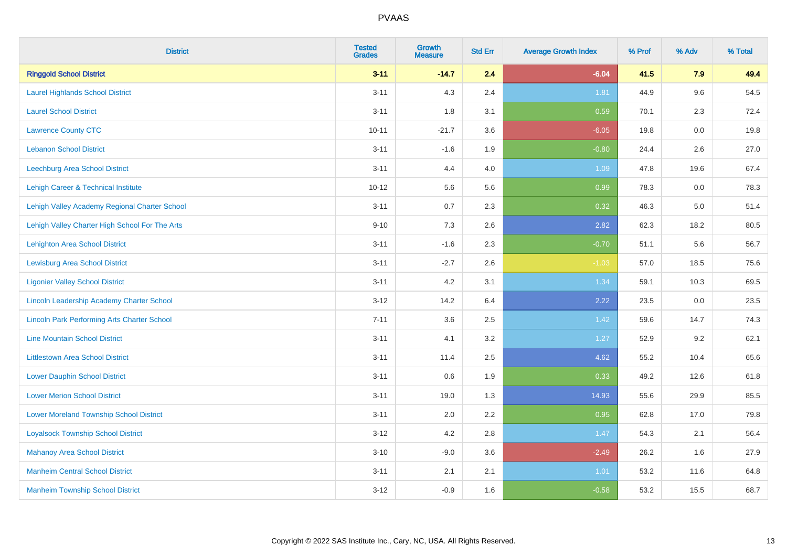| <b>District</b>                                    | <b>Tested</b><br><b>Grades</b> | Growth<br><b>Measure</b> | <b>Std Err</b> | <b>Average Growth Index</b> | % Prof | % Adv   | % Total |
|----------------------------------------------------|--------------------------------|--------------------------|----------------|-----------------------------|--------|---------|---------|
| <b>Ringgold School District</b>                    | $3 - 11$                       | $-14.7$                  | 2.4            | $-6.04$                     | 41.5   | 7.9     | 49.4    |
| <b>Laurel Highlands School District</b>            | $3 - 11$                       | 4.3                      | 2.4            | 1.81                        | 44.9   | $9.6\,$ | 54.5    |
| <b>Laurel School District</b>                      | $3 - 11$                       | 1.8                      | 3.1            | 0.59                        | 70.1   | 2.3     | 72.4    |
| <b>Lawrence County CTC</b>                         | $10 - 11$                      | $-21.7$                  | 3.6            | $-6.05$                     | 19.8   | $0.0\,$ | 19.8    |
| <b>Lebanon School District</b>                     | $3 - 11$                       | $-1.6$                   | 1.9            | $-0.80$                     | 24.4   | 2.6     | 27.0    |
| <b>Leechburg Area School District</b>              | $3 - 11$                       | 4.4                      | 4.0            | 1.09                        | 47.8   | 19.6    | 67.4    |
| Lehigh Career & Technical Institute                | $10 - 12$                      | 5.6                      | 5.6            | 0.99                        | 78.3   | 0.0     | 78.3    |
| Lehigh Valley Academy Regional Charter School      | $3 - 11$                       | 0.7                      | 2.3            | 0.32                        | 46.3   | 5.0     | 51.4    |
| Lehigh Valley Charter High School For The Arts     | $9 - 10$                       | 7.3                      | 2.6            | 2.82                        | 62.3   | 18.2    | 80.5    |
| <b>Lehighton Area School District</b>              | $3 - 11$                       | $-1.6$                   | 2.3            | $-0.70$                     | 51.1   | 5.6     | 56.7    |
| <b>Lewisburg Area School District</b>              | $3 - 11$                       | $-2.7$                   | 2.6            | $-1.03$                     | 57.0   | 18.5    | 75.6    |
| <b>Ligonier Valley School District</b>             | $3 - 11$                       | 4.2                      | 3.1            | 1.34                        | 59.1   | 10.3    | 69.5    |
| Lincoln Leadership Academy Charter School          | $3 - 12$                       | 14.2                     | 6.4            | 2.22                        | 23.5   | 0.0     | 23.5    |
| <b>Lincoln Park Performing Arts Charter School</b> | $7 - 11$                       | 3.6                      | 2.5            | 1.42                        | 59.6   | 14.7    | 74.3    |
| <b>Line Mountain School District</b>               | $3 - 11$                       | 4.1                      | 3.2            | 1.27                        | 52.9   | 9.2     | 62.1    |
| <b>Littlestown Area School District</b>            | $3 - 11$                       | 11.4                     | 2.5            | 4.62                        | 55.2   | 10.4    | 65.6    |
| <b>Lower Dauphin School District</b>               | $3 - 11$                       | 0.6                      | 1.9            | 0.33                        | 49.2   | 12.6    | 61.8    |
| <b>Lower Merion School District</b>                | $3 - 11$                       | 19.0                     | 1.3            | 14.93                       | 55.6   | 29.9    | 85.5    |
| <b>Lower Moreland Township School District</b>     | $3 - 11$                       | 2.0                      | 2.2            | 0.95                        | 62.8   | 17.0    | 79.8    |
| <b>Loyalsock Township School District</b>          | $3 - 12$                       | 4.2                      | 2.8            | 1.47                        | 54.3   | 2.1     | 56.4    |
| <b>Mahanoy Area School District</b>                | $3 - 10$                       | $-9.0$                   | 3.6            | $-2.49$                     | 26.2   | 1.6     | 27.9    |
| <b>Manheim Central School District</b>             | $3 - 11$                       | 2.1                      | 2.1            | 1.01                        | 53.2   | 11.6    | 64.8    |
| <b>Manheim Township School District</b>            | $3 - 12$                       | $-0.9$                   | 1.6            | $-0.58$                     | 53.2   | 15.5    | 68.7    |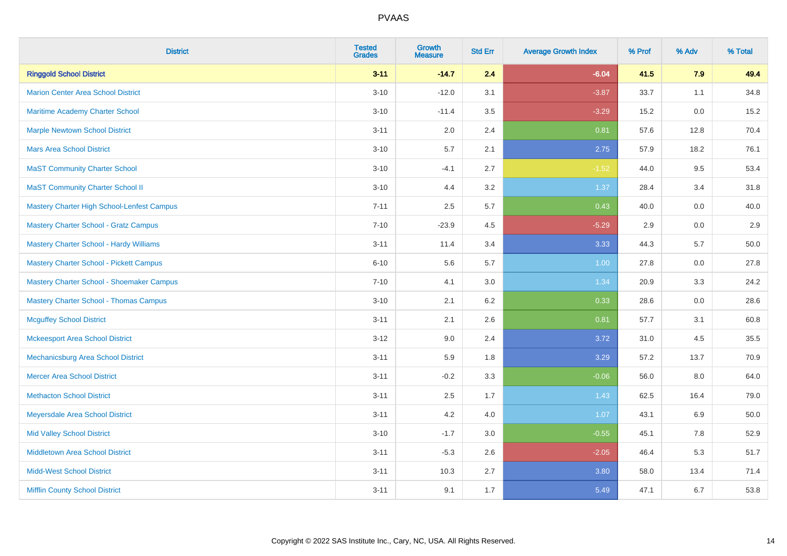| <b>District</b>                                | <b>Tested</b><br><b>Grades</b> | <b>Growth</b><br><b>Measure</b> | <b>Std Err</b> | <b>Average Growth Index</b> | % Prof | % Adv | % Total |
|------------------------------------------------|--------------------------------|---------------------------------|----------------|-----------------------------|--------|-------|---------|
| <b>Ringgold School District</b>                | $3 - 11$                       | $-14.7$                         | 2.4            | $-6.04$                     | 41.5   | 7.9   | 49.4    |
| <b>Marion Center Area School District</b>      | $3 - 10$                       | $-12.0$                         | 3.1            | $-3.87$                     | 33.7   | 1.1   | 34.8    |
| <b>Maritime Academy Charter School</b>         | $3 - 10$                       | $-11.4$                         | 3.5            | $-3.29$                     | 15.2   | 0.0   | 15.2    |
| <b>Marple Newtown School District</b>          | $3 - 11$                       | 2.0                             | 2.4            | 0.81                        | 57.6   | 12.8  | 70.4    |
| <b>Mars Area School District</b>               | $3 - 10$                       | 5.7                             | 2.1            | 2.75                        | 57.9   | 18.2  | 76.1    |
| <b>MaST Community Charter School</b>           | $3 - 10$                       | $-4.1$                          | 2.7            | $-1.52$                     | 44.0   | 9.5   | 53.4    |
| <b>MaST Community Charter School II</b>        | $3 - 10$                       | 4.4                             | 3.2            | 1.37                        | 28.4   | 3.4   | 31.8    |
| Mastery Charter High School-Lenfest Campus     | $7 - 11$                       | 2.5                             | 5.7            | 0.43                        | 40.0   | 0.0   | 40.0    |
| <b>Mastery Charter School - Gratz Campus</b>   | $7 - 10$                       | $-23.9$                         | 4.5            | $-5.29$                     | 2.9    | 0.0   | $2.9\,$ |
| <b>Mastery Charter School - Hardy Williams</b> | $3 - 11$                       | 11.4                            | 3.4            | 3.33                        | 44.3   | 5.7   | 50.0    |
| <b>Mastery Charter School - Pickett Campus</b> | $6 - 10$                       | 5.6                             | 5.7            | 1.00                        | 27.8   | 0.0   | 27.8    |
| Mastery Charter School - Shoemaker Campus      | $7 - 10$                       | 4.1                             | 3.0            | 1.34                        | 20.9   | 3.3   | 24.2    |
| <b>Mastery Charter School - Thomas Campus</b>  | $3 - 10$                       | 2.1                             | 6.2            | 0.33                        | 28.6   | 0.0   | 28.6    |
| <b>Mcguffey School District</b>                | $3 - 11$                       | 2.1                             | 2.6            | 0.81                        | 57.7   | 3.1   | 60.8    |
| <b>Mckeesport Area School District</b>         | $3 - 12$                       | 9.0                             | 2.4            | 3.72                        | 31.0   | 4.5   | 35.5    |
| Mechanicsburg Area School District             | $3 - 11$                       | 5.9                             | 1.8            | 3.29                        | 57.2   | 13.7  | 70.9    |
| <b>Mercer Area School District</b>             | $3 - 11$                       | $-0.2$                          | 3.3            | $-0.06$                     | 56.0   | 8.0   | 64.0    |
| <b>Methacton School District</b>               | $3 - 11$                       | 2.5                             | 1.7            | 1.43                        | 62.5   | 16.4  | 79.0    |
| Meyersdale Area School District                | $3 - 11$                       | 4.2                             | 4.0            | 1.07                        | 43.1   | 6.9   | 50.0    |
| <b>Mid Valley School District</b>              | $3 - 10$                       | $-1.7$                          | 3.0            | $-0.55$                     | 45.1   | 7.8   | 52.9    |
| <b>Middletown Area School District</b>         | $3 - 11$                       | $-5.3$                          | 2.6            | $-2.05$                     | 46.4   | 5.3   | 51.7    |
| <b>Midd-West School District</b>               | $3 - 11$                       | 10.3                            | 2.7            | 3.80                        | 58.0   | 13.4  | 71.4    |
| <b>Mifflin County School District</b>          | $3 - 11$                       | 9.1                             | 1.7            | 5.49                        | 47.1   | 6.7   | 53.8    |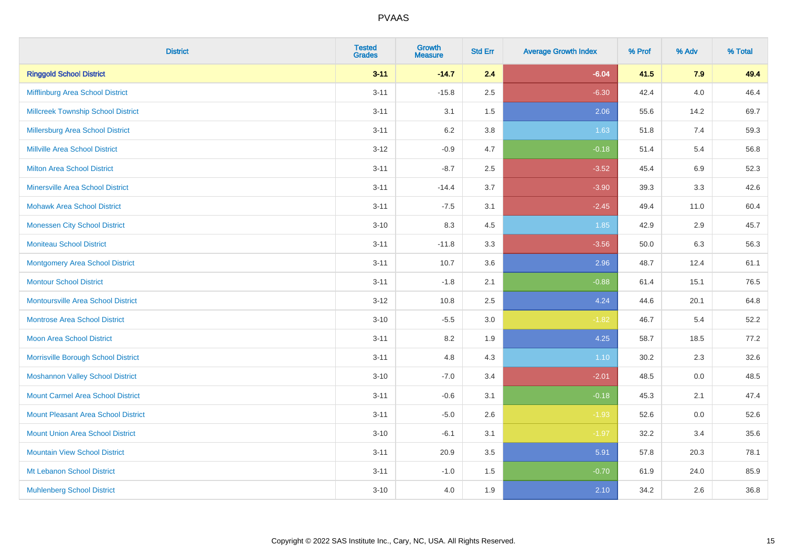| <b>District</b>                            | <b>Tested</b><br><b>Grades</b> | <b>Growth</b><br><b>Measure</b> | <b>Std Err</b> | <b>Average Growth Index</b> | % Prof | % Adv   | % Total |
|--------------------------------------------|--------------------------------|---------------------------------|----------------|-----------------------------|--------|---------|---------|
| <b>Ringgold School District</b>            | $3 - 11$                       | $-14.7$                         | 2.4            | $-6.04$                     | 41.5   | 7.9     | 49.4    |
| Mifflinburg Area School District           | $3 - 11$                       | $-15.8$                         | 2.5            | $-6.30$                     | 42.4   | $4.0\,$ | 46.4    |
| <b>Millcreek Township School District</b>  | $3 - 11$                       | 3.1                             | 1.5            | 2.06                        | 55.6   | 14.2    | 69.7    |
| <b>Millersburg Area School District</b>    | $3 - 11$                       | 6.2                             | 3.8            | 1.63                        | 51.8   | 7.4     | 59.3    |
| <b>Millville Area School District</b>      | $3 - 12$                       | $-0.9$                          | 4.7            | $-0.18$                     | 51.4   | 5.4     | 56.8    |
| <b>Milton Area School District</b>         | $3 - 11$                       | $-8.7$                          | 2.5            | $-3.52$                     | 45.4   | $6.9\,$ | 52.3    |
| <b>Minersville Area School District</b>    | $3 - 11$                       | $-14.4$                         | 3.7            | $-3.90$                     | 39.3   | 3.3     | 42.6    |
| <b>Mohawk Area School District</b>         | $3 - 11$                       | $-7.5$                          | 3.1            | $-2.45$                     | 49.4   | 11.0    | 60.4    |
| <b>Monessen City School District</b>       | $3 - 10$                       | 8.3                             | 4.5            | 1.85                        | 42.9   | 2.9     | 45.7    |
| <b>Moniteau School District</b>            | $3 - 11$                       | $-11.8$                         | 3.3            | $-3.56$                     | 50.0   | 6.3     | 56.3    |
| <b>Montgomery Area School District</b>     | $3 - 11$                       | 10.7                            | 3.6            | 2.96                        | 48.7   | 12.4    | 61.1    |
| <b>Montour School District</b>             | $3 - 11$                       | $-1.8$                          | 2.1            | $-0.88$                     | 61.4   | 15.1    | 76.5    |
| <b>Montoursville Area School District</b>  | $3 - 12$                       | 10.8                            | 2.5            | 4.24                        | 44.6   | 20.1    | 64.8    |
| <b>Montrose Area School District</b>       | $3 - 10$                       | $-5.5$                          | 3.0            | $-1.82$                     | 46.7   | 5.4     | 52.2    |
| Moon Area School District                  | $3 - 11$                       | 8.2                             | 1.9            | 4.25                        | 58.7   | 18.5    | 77.2    |
| Morrisville Borough School District        | $3 - 11$                       | 4.8                             | 4.3            | 1.10                        | 30.2   | 2.3     | 32.6    |
| <b>Moshannon Valley School District</b>    | $3 - 10$                       | $-7.0$                          | 3.4            | $-2.01$                     | 48.5   | 0.0     | 48.5    |
| <b>Mount Carmel Area School District</b>   | $3 - 11$                       | $-0.6$                          | 3.1            | $-0.18$                     | 45.3   | 2.1     | 47.4    |
| <b>Mount Pleasant Area School District</b> | $3 - 11$                       | $-5.0$                          | 2.6            | $-1.93$                     | 52.6   | 0.0     | 52.6    |
| <b>Mount Union Area School District</b>    | $3 - 10$                       | $-6.1$                          | 3.1            | $-1.97$                     | 32.2   | 3.4     | 35.6    |
| <b>Mountain View School District</b>       | $3 - 11$                       | 20.9                            | 3.5            | 5.91                        | 57.8   | 20.3    | 78.1    |
| Mt Lebanon School District                 | $3 - 11$                       | $-1.0$                          | 1.5            | $-0.70$                     | 61.9   | 24.0    | 85.9    |
| <b>Muhlenberg School District</b>          | $3 - 10$                       | 4.0                             | 1.9            | 2.10                        | 34.2   | 2.6     | 36.8    |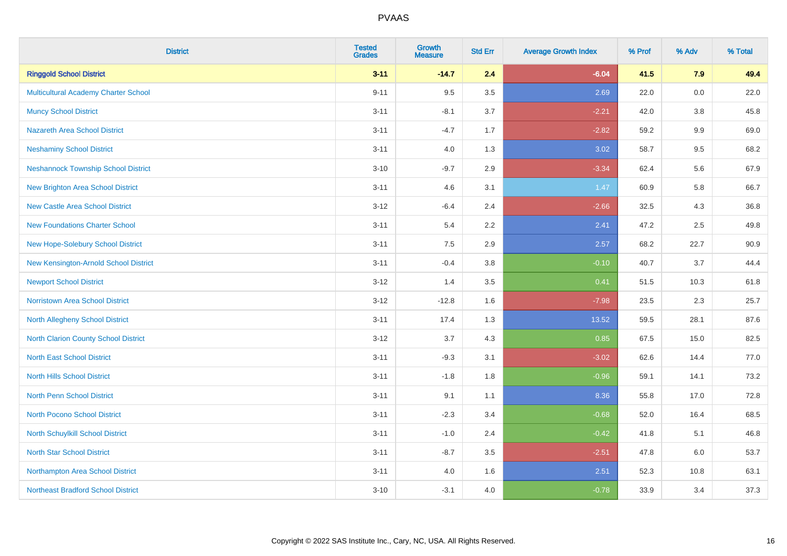| <b>District</b>                            | <b>Tested</b><br><b>Grades</b> | Growth<br><b>Measure</b> | <b>Std Err</b> | <b>Average Growth Index</b> | % Prof | % Adv   | % Total |
|--------------------------------------------|--------------------------------|--------------------------|----------------|-----------------------------|--------|---------|---------|
| <b>Ringgold School District</b>            | $3 - 11$                       | $-14.7$                  | 2.4            | $-6.04$                     | 41.5   | 7.9     | 49.4    |
| Multicultural Academy Charter School       | $9 - 11$                       | 9.5                      | 3.5            | 2.69                        | 22.0   | $0.0\,$ | 22.0    |
| <b>Muncy School District</b>               | $3 - 11$                       | $-8.1$                   | 3.7            | $-2.21$                     | 42.0   | 3.8     | 45.8    |
| <b>Nazareth Area School District</b>       | $3 - 11$                       | $-4.7$                   | 1.7            | $-2.82$                     | 59.2   | 9.9     | 69.0    |
| <b>Neshaminy School District</b>           | $3 - 11$                       | 4.0                      | 1.3            | 3.02                        | 58.7   | 9.5     | 68.2    |
| <b>Neshannock Township School District</b> | $3 - 10$                       | $-9.7$                   | 2.9            | $-3.34$                     | 62.4   | 5.6     | 67.9    |
| <b>New Brighton Area School District</b>   | $3 - 11$                       | 4.6                      | 3.1            | 1.47                        | 60.9   | 5.8     | 66.7    |
| <b>New Castle Area School District</b>     | $3 - 12$                       | $-6.4$                   | 2.4            | $-2.66$                     | 32.5   | 4.3     | 36.8    |
| <b>New Foundations Charter School</b>      | $3 - 11$                       | 5.4                      | 2.2            | 2.41                        | 47.2   | 2.5     | 49.8    |
| New Hope-Solebury School District          | $3 - 11$                       | 7.5                      | 2.9            | 2.57                        | 68.2   | 22.7    | 90.9    |
| New Kensington-Arnold School District      | $3 - 11$                       | $-0.4$                   | 3.8            | $-0.10$                     | 40.7   | 3.7     | 44.4    |
| <b>Newport School District</b>             | $3 - 12$                       | 1.4                      | 3.5            | 0.41                        | 51.5   | 10.3    | 61.8    |
| <b>Norristown Area School District</b>     | $3 - 12$                       | $-12.8$                  | 1.6            | $-7.98$                     | 23.5   | $2.3\,$ | 25.7    |
| North Allegheny School District            | $3 - 11$                       | 17.4                     | 1.3            | 13.52                       | 59.5   | 28.1    | 87.6    |
| North Clarion County School District       | $3 - 12$                       | 3.7                      | 4.3            | 0.85                        | 67.5   | 15.0    | 82.5    |
| <b>North East School District</b>          | $3 - 11$                       | $-9.3$                   | 3.1            | $-3.02$                     | 62.6   | 14.4    | 77.0    |
| <b>North Hills School District</b>         | $3 - 11$                       | $-1.8$                   | 1.8            | $-0.96$                     | 59.1   | 14.1    | 73.2    |
| <b>North Penn School District</b>          | $3 - 11$                       | 9.1                      | 1.1            | 8.36                        | 55.8   | 17.0    | 72.8    |
| North Pocono School District               | $3 - 11$                       | $-2.3$                   | 3.4            | $-0.68$                     | 52.0   | 16.4    | 68.5    |
| North Schuylkill School District           | $3 - 11$                       | $-1.0$                   | 2.4            | $-0.42$                     | 41.8   | 5.1     | 46.8    |
| <b>North Star School District</b>          | $3 - 11$                       | $-8.7$                   | 3.5            | $-2.51$                     | 47.8   | 6.0     | 53.7    |
| Northampton Area School District           | $3 - 11$                       | 4.0                      | 1.6            | 2.51                        | 52.3   | 10.8    | 63.1    |
| <b>Northeast Bradford School District</b>  | $3 - 10$                       | $-3.1$                   | 4.0            | $-0.78$                     | 33.9   | 3.4     | 37.3    |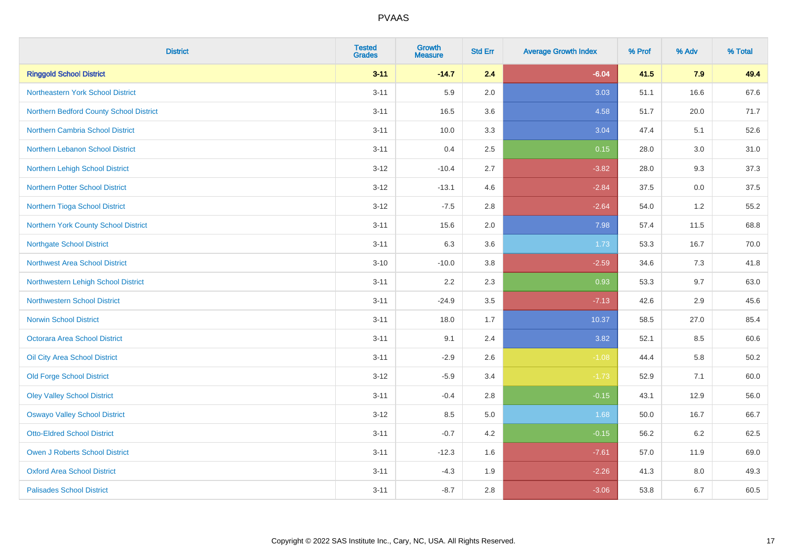| <b>District</b>                          | <b>Tested</b><br><b>Grades</b> | <b>Growth</b><br><b>Measure</b> | <b>Std Err</b> | <b>Average Growth Index</b> | % Prof | % Adv | % Total  |
|------------------------------------------|--------------------------------|---------------------------------|----------------|-----------------------------|--------|-------|----------|
| <b>Ringgold School District</b>          | $3 - 11$                       | $-14.7$                         | 2.4            | $-6.04$                     | 41.5   | 7.9   | 49.4     |
| <b>Northeastern York School District</b> | $3 - 11$                       | 5.9                             | 2.0            | 3.03                        | 51.1   | 16.6  | 67.6     |
| Northern Bedford County School District  | $3 - 11$                       | 16.5                            | 3.6            | 4.58                        | 51.7   | 20.0  | 71.7     |
| <b>Northern Cambria School District</b>  | $3 - 11$                       | 10.0                            | 3.3            | 3.04                        | 47.4   | 5.1   | 52.6     |
| Northern Lebanon School District         | $3 - 11$                       | 0.4                             | 2.5            | 0.15                        | 28.0   | 3.0   | 31.0     |
| Northern Lehigh School District          | $3 - 12$                       | $-10.4$                         | 2.7            | $-3.82$                     | 28.0   | 9.3   | 37.3     |
| <b>Northern Potter School District</b>   | $3 - 12$                       | $-13.1$                         | 4.6            | $-2.84$                     | 37.5   | 0.0   | 37.5     |
| Northern Tioga School District           | $3 - 12$                       | $-7.5$                          | 2.8            | $-2.64$                     | 54.0   | 1.2   | 55.2     |
| Northern York County School District     | $3 - 11$                       | 15.6                            | 2.0            | 7.98                        | 57.4   | 11.5  | 68.8     |
| <b>Northgate School District</b>         | $3 - 11$                       | 6.3                             | 3.6            | 1.73                        | 53.3   | 16.7  | 70.0     |
| <b>Northwest Area School District</b>    | $3 - 10$                       | $-10.0$                         | 3.8            | $-2.59$                     | 34.6   | 7.3   | 41.8     |
| Northwestern Lehigh School District      | $3 - 11$                       | 2.2                             | 2.3            | 0.93                        | 53.3   | 9.7   | 63.0     |
| Northwestern School District             | $3 - 11$                       | $-24.9$                         | 3.5            | $-7.13$                     | 42.6   | 2.9   | 45.6     |
| <b>Norwin School District</b>            | $3 - 11$                       | 18.0                            | 1.7            | 10.37                       | 58.5   | 27.0  | 85.4     |
| Octorara Area School District            | $3 - 11$                       | 9.1                             | 2.4            | 3.82                        | 52.1   | 8.5   | 60.6     |
| Oil City Area School District            | $3 - 11$                       | $-2.9$                          | 2.6            | $-1.08$                     | 44.4   | 5.8   | $50.2\,$ |
| <b>Old Forge School District</b>         | $3 - 12$                       | $-5.9$                          | 3.4            | $-1.73$                     | 52.9   | 7.1   | 60.0     |
| <b>Oley Valley School District</b>       | $3 - 11$                       | $-0.4$                          | 2.8            | $-0.15$                     | 43.1   | 12.9  | 56.0     |
| <b>Oswayo Valley School District</b>     | $3 - 12$                       | 8.5                             | 5.0            | 1.68                        | 50.0   | 16.7  | 66.7     |
| <b>Otto-Eldred School District</b>       | $3 - 11$                       | $-0.7$                          | 4.2            | $-0.15$                     | 56.2   | 6.2   | 62.5     |
| <b>Owen J Roberts School District</b>    | $3 - 11$                       | $-12.3$                         | 1.6            | $-7.61$                     | 57.0   | 11.9  | 69.0     |
| <b>Oxford Area School District</b>       | $3 - 11$                       | $-4.3$                          | 1.9            | $-2.26$                     | 41.3   | 8.0   | 49.3     |
| <b>Palisades School District</b>         | $3 - 11$                       | $-8.7$                          | 2.8            | $-3.06$                     | 53.8   | 6.7   | 60.5     |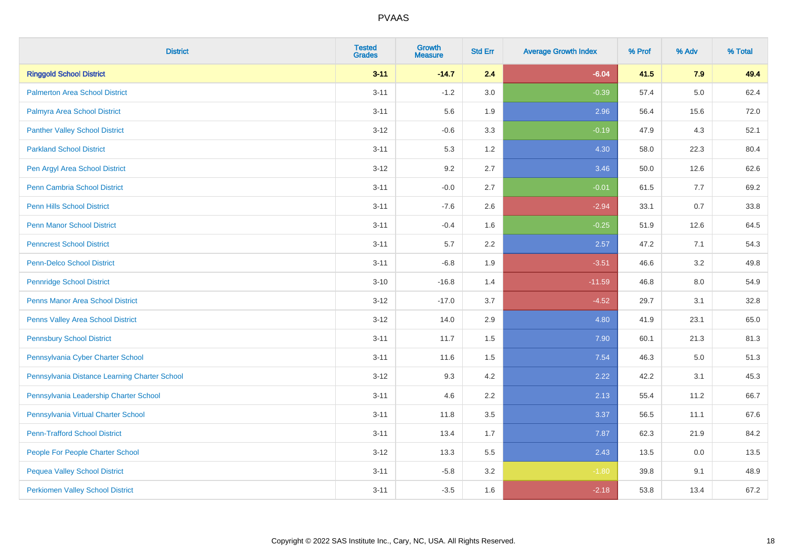| <b>District</b>                               | <b>Tested</b><br><b>Grades</b> | <b>Growth</b><br><b>Measure</b> | <b>Std Err</b> | <b>Average Growth Index</b> | % Prof | % Adv   | % Total |
|-----------------------------------------------|--------------------------------|---------------------------------|----------------|-----------------------------|--------|---------|---------|
| <b>Ringgold School District</b>               | $3 - 11$                       | $-14.7$                         | 2.4            | $-6.04$                     | 41.5   | 7.9     | 49.4    |
| <b>Palmerton Area School District</b>         | $3 - 11$                       | $-1.2$                          | 3.0            | $-0.39$                     | 57.4   | 5.0     | 62.4    |
| Palmyra Area School District                  | $3 - 11$                       | 5.6                             | 1.9            | 2.96                        | 56.4   | 15.6    | 72.0    |
| <b>Panther Valley School District</b>         | $3 - 12$                       | $-0.6$                          | 3.3            | $-0.19$                     | 47.9   | 4.3     | 52.1    |
| <b>Parkland School District</b>               | $3 - 11$                       | 5.3                             | 1.2            | 4.30                        | 58.0   | 22.3    | 80.4    |
| Pen Argyl Area School District                | $3-12$                         | 9.2                             | 2.7            | 3.46                        | 50.0   | 12.6    | 62.6    |
| Penn Cambria School District                  | $3 - 11$                       | $-0.0$                          | 2.7            | $-0.01$                     | 61.5   | 7.7     | 69.2    |
| <b>Penn Hills School District</b>             | $3 - 11$                       | $-7.6$                          | 2.6            | $-2.94$                     | 33.1   | 0.7     | 33.8    |
| <b>Penn Manor School District</b>             | $3 - 11$                       | $-0.4$                          | 1.6            | $-0.25$                     | 51.9   | 12.6    | 64.5    |
| <b>Penncrest School District</b>              | $3 - 11$                       | 5.7                             | 2.2            | 2.57                        | 47.2   | 7.1     | 54.3    |
| Penn-Delco School District                    | $3 - 11$                       | $-6.8$                          | 1.9            | $-3.51$                     | 46.6   | 3.2     | 49.8    |
| <b>Pennridge School District</b>              | $3 - 10$                       | $-16.8$                         | 1.4            | $-11.59$                    | 46.8   | 8.0     | 54.9    |
| <b>Penns Manor Area School District</b>       | $3-12$                         | $-17.0$                         | 3.7            | $-4.52$                     | 29.7   | 3.1     | 32.8    |
| Penns Valley Area School District             | $3-12$                         | 14.0                            | 2.9            | 4.80                        | 41.9   | 23.1    | 65.0    |
| <b>Pennsbury School District</b>              | $3 - 11$                       | 11.7                            | 1.5            | 7.90                        | 60.1   | 21.3    | 81.3    |
| Pennsylvania Cyber Charter School             | $3 - 11$                       | 11.6                            | 1.5            | 7.54                        | 46.3   | $5.0\,$ | 51.3    |
| Pennsylvania Distance Learning Charter School | $3-12$                         | 9.3                             | 4.2            | 2.22                        | 42.2   | 3.1     | 45.3    |
| Pennsylvania Leadership Charter School        | $3 - 11$                       | 4.6                             | 2.2            | 2.13                        | 55.4   | 11.2    | 66.7    |
| Pennsylvania Virtual Charter School           | $3 - 11$                       | 11.8                            | 3.5            | 3.37                        | 56.5   | 11.1    | 67.6    |
| <b>Penn-Trafford School District</b>          | $3 - 11$                       | 13.4                            | 1.7            | 7.87                        | 62.3   | 21.9    | 84.2    |
| People For People Charter School              | $3 - 12$                       | 13.3                            | 5.5            | 2.43                        | 13.5   | 0.0     | 13.5    |
| <b>Pequea Valley School District</b>          | $3 - 11$                       | $-5.8$                          | 3.2            | $-1.80$                     | 39.8   | 9.1     | 48.9    |
| <b>Perkiomen Valley School District</b>       | $3 - 11$                       | $-3.5$                          | 1.6            | $-2.18$                     | 53.8   | 13.4    | 67.2    |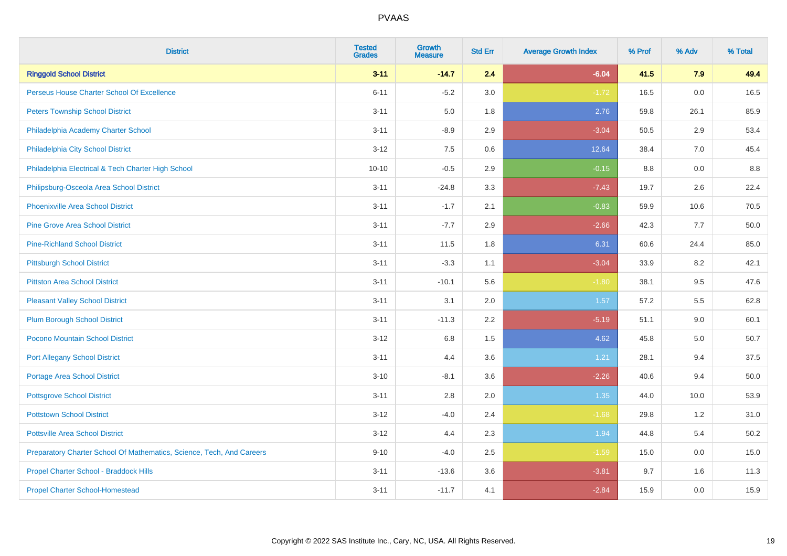| <b>District</b>                                                       | <b>Tested</b><br><b>Grades</b> | <b>Growth</b><br><b>Measure</b> | <b>Std Err</b> | <b>Average Growth Index</b> | % Prof | % Adv | % Total |
|-----------------------------------------------------------------------|--------------------------------|---------------------------------|----------------|-----------------------------|--------|-------|---------|
| <b>Ringgold School District</b>                                       | $3 - 11$                       | $-14.7$                         | 2.4            | $-6.04$                     | 41.5   | 7.9   | 49.4    |
| Perseus House Charter School Of Excellence                            | $6 - 11$                       | $-5.2$                          | 3.0            | $-1.72$                     | 16.5   | 0.0   | 16.5    |
| <b>Peters Township School District</b>                                | $3 - 11$                       | 5.0                             | 1.8            | 2.76                        | 59.8   | 26.1  | 85.9    |
| Philadelphia Academy Charter School                                   | $3 - 11$                       | $-8.9$                          | 2.9            | $-3.04$                     | 50.5   | 2.9   | 53.4    |
| Philadelphia City School District                                     | $3 - 12$                       | 7.5                             | 0.6            | 12.64                       | 38.4   | 7.0   | 45.4    |
| Philadelphia Electrical & Tech Charter High School                    | $10 - 10$                      | $-0.5$                          | 2.9            | $-0.15$                     | 8.8    | 0.0   | 8.8     |
| Philipsburg-Osceola Area School District                              | $3 - 11$                       | $-24.8$                         | 3.3            | $-7.43$                     | 19.7   | 2.6   | 22.4    |
| <b>Phoenixville Area School District</b>                              | $3 - 11$                       | $-1.7$                          | 2.1            | $-0.83$                     | 59.9   | 10.6  | 70.5    |
| <b>Pine Grove Area School District</b>                                | $3 - 11$                       | $-7.7$                          | 2.9            | $-2.66$                     | 42.3   | 7.7   | 50.0    |
| <b>Pine-Richland School District</b>                                  | $3 - 11$                       | 11.5                            | 1.8            | 6.31                        | 60.6   | 24.4  | 85.0    |
| <b>Pittsburgh School District</b>                                     | $3 - 11$                       | $-3.3$                          | 1.1            | $-3.04$                     | 33.9   | 8.2   | 42.1    |
| <b>Pittston Area School District</b>                                  | $3 - 11$                       | $-10.1$                         | 5.6            | $-1.80$                     | 38.1   | 9.5   | 47.6    |
| <b>Pleasant Valley School District</b>                                | $3 - 11$                       | 3.1                             | 2.0            | 1.57                        | 57.2   | 5.5   | 62.8    |
| <b>Plum Borough School District</b>                                   | $3 - 11$                       | $-11.3$                         | 2.2            | $-5.19$                     | 51.1   | 9.0   | 60.1    |
| Pocono Mountain School District                                       | $3 - 12$                       | $6.8\,$                         | 1.5            | 4.62                        | 45.8   | 5.0   | 50.7    |
| <b>Port Allegany School District</b>                                  | $3 - 11$                       | 4.4                             | 3.6            | 1.21                        | 28.1   | 9.4   | 37.5    |
| <b>Portage Area School District</b>                                   | $3 - 10$                       | $-8.1$                          | 3.6            | $-2.26$                     | 40.6   | 9.4   | 50.0    |
| <b>Pottsgrove School District</b>                                     | $3 - 11$                       | 2.8                             | 2.0            | 1.35                        | 44.0   | 10.0  | 53.9    |
| <b>Pottstown School District</b>                                      | $3 - 12$                       | $-4.0$                          | 2.4            | $-1.68$                     | 29.8   | 1.2   | 31.0    |
| <b>Pottsville Area School District</b>                                | $3 - 12$                       | 4.4                             | 2.3            | 1.94                        | 44.8   | 5.4   | 50.2    |
| Preparatory Charter School Of Mathematics, Science, Tech, And Careers | $9 - 10$                       | $-4.0$                          | 2.5            | $-1.59$                     | 15.0   | 0.0   | 15.0    |
| Propel Charter School - Braddock Hills                                | $3 - 11$                       | $-13.6$                         | 3.6            | $-3.81$                     | 9.7    | 1.6   | 11.3    |
| <b>Propel Charter School-Homestead</b>                                | $3 - 11$                       | $-11.7$                         | 4.1            | $-2.84$                     | 15.9   | 0.0   | 15.9    |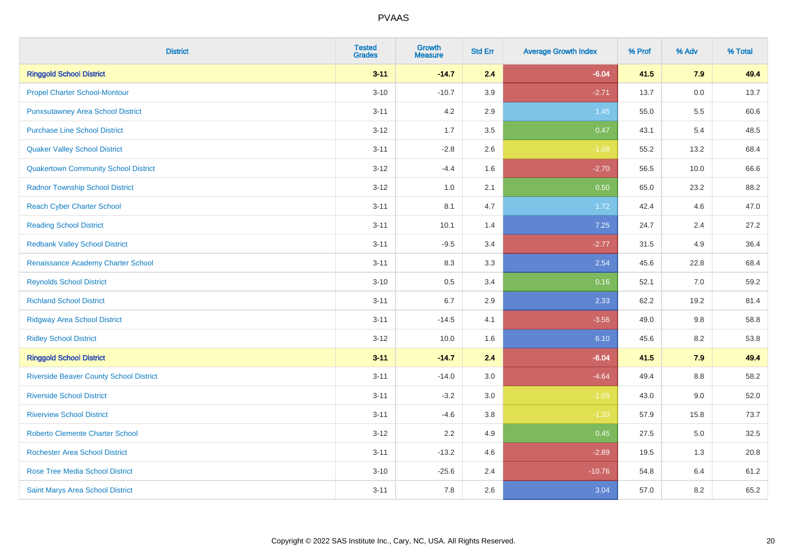| <b>District</b>                                | <b>Tested</b><br><b>Grades</b> | <b>Growth</b><br><b>Measure</b> | <b>Std Err</b> | <b>Average Growth Index</b> | % Prof | % Adv | % Total |
|------------------------------------------------|--------------------------------|---------------------------------|----------------|-----------------------------|--------|-------|---------|
| <b>Ringgold School District</b>                | $3 - 11$                       | $-14.7$                         | 2.4            | $-6.04$                     | 41.5   | 7.9   | 49.4    |
| <b>Propel Charter School-Montour</b>           | $3 - 10$                       | $-10.7$                         | 3.9            | $-2.71$                     | 13.7   | 0.0   | 13.7    |
| <b>Punxsutawney Area School District</b>       | $3 - 11$                       | 4.2                             | 2.9            | 1.45                        | 55.0   | 5.5   | 60.6    |
| <b>Purchase Line School District</b>           | $3 - 12$                       | 1.7                             | 3.5            | 0.47                        | 43.1   | 5.4   | 48.5    |
| <b>Quaker Valley School District</b>           | $3 - 11$                       | $-2.8$                          | 2.6            | $-1.08$                     | 55.2   | 13.2  | 68.4    |
| <b>Quakertown Community School District</b>    | $3 - 12$                       | $-4.4$                          | 1.6            | $-2.70$                     | 56.5   | 10.0  | 66.6    |
| <b>Radnor Township School District</b>         | $3 - 12$                       | $1.0\,$                         | 2.1            | 0.50                        | 65.0   | 23.2  | 88.2    |
| <b>Reach Cyber Charter School</b>              | $3 - 11$                       | 8.1                             | 4.7            | 1.72                        | 42.4   | 4.6   | 47.0    |
| <b>Reading School District</b>                 | $3 - 11$                       | 10.1                            | 1.4            | 7.25                        | 24.7   | 2.4   | 27.2    |
| <b>Redbank Valley School District</b>          | $3 - 11$                       | $-9.5$                          | 3.4            | $-2.77$                     | 31.5   | 4.9   | 36.4    |
| Renaissance Academy Charter School             | $3 - 11$                       | 8.3                             | 3.3            | 2.54                        | 45.6   | 22.8  | 68.4    |
| <b>Reynolds School District</b>                | $3 - 10$                       | 0.5                             | 3.4            | 0.16                        | 52.1   | 7.0   | 59.2    |
| <b>Richland School District</b>                | $3 - 11$                       | 6.7                             | 2.9            | 2.33                        | 62.2   | 19.2  | 81.4    |
| <b>Ridgway Area School District</b>            | $3 - 11$                       | $-14.5$                         | 4.1            | $-3.56$                     | 49.0   | 9.8   | 58.8    |
| <b>Ridley School District</b>                  | $3 - 12$                       | 10.0                            | 1.6            | 6.10                        | 45.6   | 8.2   | 53.8    |
| <b>Ringgold School District</b>                | $3 - 11$                       | $-14.7$                         | 2.4            | $-6.04$                     | 41.5   | 7.9   | 49.4    |
| <b>Riverside Beaver County School District</b> | $3 - 11$                       | $-14.0$                         | 3.0            | $-4.64$                     | 49.4   | 8.8   | 58.2    |
| <b>Riverside School District</b>               | $3 - 11$                       | $-3.2$                          | 3.0            | $-1.09$                     | 43.0   | 9.0   | 52.0    |
| <b>Riverview School District</b>               | $3 - 11$                       | $-4.6$                          | 3.8            | $-1.20$                     | 57.9   | 15.8  | 73.7    |
| <b>Roberto Clemente Charter School</b>         | $3 - 12$                       | 2.2                             | 4.9            | 0.45                        | 27.5   | 5.0   | 32.5    |
| <b>Rochester Area School District</b>          | $3 - 11$                       | $-13.2$                         | 4.6            | $-2.89$                     | 19.5   | 1.3   | 20.8    |
| <b>Rose Tree Media School District</b>         | $3 - 10$                       | $-25.6$                         | 2.4            | $-10.76$                    | 54.8   | 6.4   | 61.2    |
| Saint Marys Area School District               | $3 - 11$                       | 7.8                             | 2.6            | 3.04                        | 57.0   | 8.2   | 65.2    |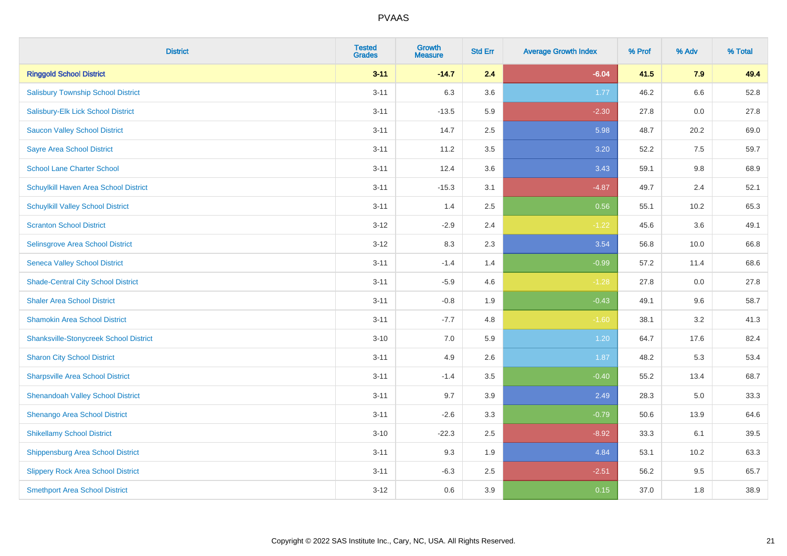| <b>District</b>                               | <b>Tested</b><br><b>Grades</b> | <b>Growth</b><br><b>Measure</b> | <b>Std Err</b> | <b>Average Growth Index</b> | % Prof | % Adv   | % Total |
|-----------------------------------------------|--------------------------------|---------------------------------|----------------|-----------------------------|--------|---------|---------|
| <b>Ringgold School District</b>               | $3 - 11$                       | $-14.7$                         | 2.4            | $-6.04$                     | 41.5   | 7.9     | 49.4    |
| <b>Salisbury Township School District</b>     | $3 - 11$                       | 6.3                             | 3.6            | 1.77                        | 46.2   | $6.6\,$ | 52.8    |
| Salisbury-Elk Lick School District            | $3 - 11$                       | $-13.5$                         | 5.9            | $-2.30$                     | 27.8   | 0.0     | 27.8    |
| <b>Saucon Valley School District</b>          | $3 - 11$                       | 14.7                            | 2.5            | 5.98                        | 48.7   | 20.2    | 69.0    |
| <b>Sayre Area School District</b>             | $3 - 11$                       | 11.2                            | 3.5            | 3.20                        | 52.2   | 7.5     | 59.7    |
| <b>School Lane Charter School</b>             | $3 - 11$                       | 12.4                            | 3.6            | 3.43                        | 59.1   | 9.8     | 68.9    |
| Schuylkill Haven Area School District         | $3 - 11$                       | $-15.3$                         | 3.1            | $-4.87$                     | 49.7   | 2.4     | 52.1    |
| <b>Schuylkill Valley School District</b>      | $3 - 11$                       | 1.4                             | 2.5            | 0.56                        | 55.1   | 10.2    | 65.3    |
| <b>Scranton School District</b>               | $3 - 12$                       | $-2.9$                          | 2.4            | $-1.22$                     | 45.6   | 3.6     | 49.1    |
| Selinsgrove Area School District              | $3 - 12$                       | 8.3                             | 2.3            | 3.54                        | 56.8   | 10.0    | 66.8    |
| <b>Seneca Valley School District</b>          | $3 - 11$                       | $-1.4$                          | 1.4            | $-0.99$                     | 57.2   | 11.4    | 68.6    |
| <b>Shade-Central City School District</b>     | $3 - 11$                       | $-5.9$                          | 4.6            | $-1.28$                     | 27.8   | 0.0     | 27.8    |
| <b>Shaler Area School District</b>            | $3 - 11$                       | $-0.8$                          | 1.9            | $-0.43$                     | 49.1   | 9.6     | 58.7    |
| <b>Shamokin Area School District</b>          | $3 - 11$                       | $-7.7$                          | 4.8            | $-1.60$                     | 38.1   | 3.2     | 41.3    |
| <b>Shanksville-Stonycreek School District</b> | $3 - 10$                       | 7.0                             | 5.9            | 1.20                        | 64.7   | 17.6    | 82.4    |
| <b>Sharon City School District</b>            | $3 - 11$                       | 4.9                             | 2.6            | 1.87                        | 48.2   | 5.3     | 53.4    |
| <b>Sharpsville Area School District</b>       | $3 - 11$                       | $-1.4$                          | 3.5            | $-0.40$                     | 55.2   | 13.4    | 68.7    |
| <b>Shenandoah Valley School District</b>      | $3 - 11$                       | 9.7                             | 3.9            | 2.49                        | 28.3   | 5.0     | 33.3    |
| Shenango Area School District                 | $3 - 11$                       | $-2.6$                          | 3.3            | $-0.79$                     | 50.6   | 13.9    | 64.6    |
| <b>Shikellamy School District</b>             | $3 - 10$                       | $-22.3$                         | 2.5            | $-8.92$                     | 33.3   | 6.1     | 39.5    |
| Shippensburg Area School District             | $3 - 11$                       | 9.3                             | 1.9            | 4.84                        | 53.1   | 10.2    | 63.3    |
| <b>Slippery Rock Area School District</b>     | $3 - 11$                       | $-6.3$                          | 2.5            | $-2.51$                     | 56.2   | 9.5     | 65.7    |
| <b>Smethport Area School District</b>         | $3 - 12$                       | 0.6                             | 3.9            | 0.15                        | 37.0   | 1.8     | 38.9    |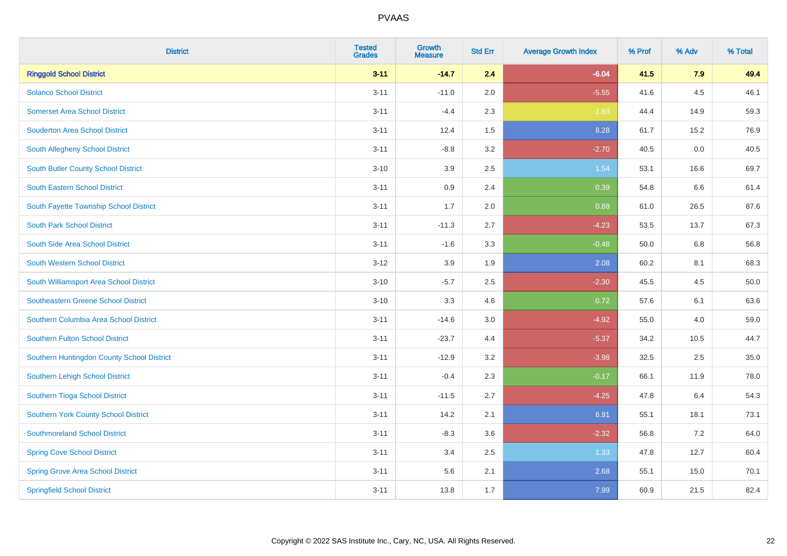| <b>District</b>                            | <b>Tested</b><br><b>Grades</b> | Growth<br><b>Measure</b> | <b>Std Err</b> | <b>Average Growth Index</b> | % Prof | % Adv | % Total |
|--------------------------------------------|--------------------------------|--------------------------|----------------|-----------------------------|--------|-------|---------|
| <b>Ringgold School District</b>            | $3 - 11$                       | $-14.7$                  | 2.4            | $-6.04$                     | 41.5   | 7.9   | 49.4    |
| <b>Solanco School District</b>             | $3 - 11$                       | $-11.0$                  | 2.0            | $-5.55$                     | 41.6   | 4.5   | 46.1    |
| <b>Somerset Area School District</b>       | $3 - 11$                       | $-4.4$                   | 2.3            | $-1.93$                     | 44.4   | 14.9  | 59.3    |
| <b>Souderton Area School District</b>      | $3 - 11$                       | 12.4                     | 1.5            | 8.28                        | 61.7   | 15.2  | 76.9    |
| South Allegheny School District            | $3 - 11$                       | $-8.8$                   | 3.2            | $-2.70$                     | 40.5   | 0.0   | 40.5    |
| <b>South Butler County School District</b> | $3 - 10$                       | 3.9                      | 2.5            | 1.54                        | 53.1   | 16.6  | 69.7    |
| South Eastern School District              | $3 - 11$                       | 0.9                      | 2.4            | 0.39                        | 54.8   | 6.6   | 61.4    |
| South Fayette Township School District     | $3 - 11$                       | 1.7                      | 2.0            | 0.88                        | 61.0   | 26.5  | 87.6    |
| <b>South Park School District</b>          | $3 - 11$                       | $-11.3$                  | 2.7            | $-4.23$                     | 53.5   | 13.7  | 67.3    |
| South Side Area School District            | $3 - 11$                       | $-1.6$                   | 3.3            | $-0.48$                     | 50.0   | 6.8   | 56.8    |
| <b>South Western School District</b>       | $3 - 12$                       | 3.9                      | 1.9            | 2.08                        | 60.2   | 8.1   | 68.3    |
| South Williamsport Area School District    | $3 - 10$                       | $-5.7$                   | 2.5            | $-2.30$                     | 45.5   | 4.5   | 50.0    |
| <b>Southeastern Greene School District</b> | $3 - 10$                       | 3.3                      | 4.6            | 0.72                        | 57.6   | 6.1   | 63.6    |
| Southern Columbia Area School District     | $3 - 11$                       | $-14.6$                  | 3.0            | $-4.92$                     | 55.0   | 4.0   | 59.0    |
| <b>Southern Fulton School District</b>     | $3 - 11$                       | $-23.7$                  | 4.4            | $-5.37$                     | 34.2   | 10.5  | 44.7    |
| Southern Huntingdon County School District | $3 - 11$                       | $-12.9$                  | 3.2            | $-3.98$                     | 32.5   | 2.5   | 35.0    |
| Southern Lehigh School District            | $3 - 11$                       | $-0.4$                   | 2.3            | $-0.17$                     | 66.1   | 11.9  | 78.0    |
| Southern Tioga School District             | $3 - 11$                       | $-11.5$                  | 2.7            | $-4.25$                     | 47.8   | 6.4   | 54.3    |
| Southern York County School District       | $3 - 11$                       | 14.2                     | 2.1            | 6.91                        | 55.1   | 18.1  | 73.1    |
| <b>Southmoreland School District</b>       | $3 - 11$                       | $-8.3$                   | 3.6            | $-2.32$                     | 56.8   | 7.2   | 64.0    |
| <b>Spring Cove School District</b>         | $3 - 11$                       | 3.4                      | 2.5            | 1.33                        | 47.8   | 12.7  | 60.4    |
| <b>Spring Grove Area School District</b>   | $3 - 11$                       | 5.6                      | 2.1            | 2.68                        | 55.1   | 15.0  | 70.1    |
| <b>Springfield School District</b>         | $3 - 11$                       | 13.8                     | 1.7            | 7.99                        | 60.9   | 21.5  | 82.4    |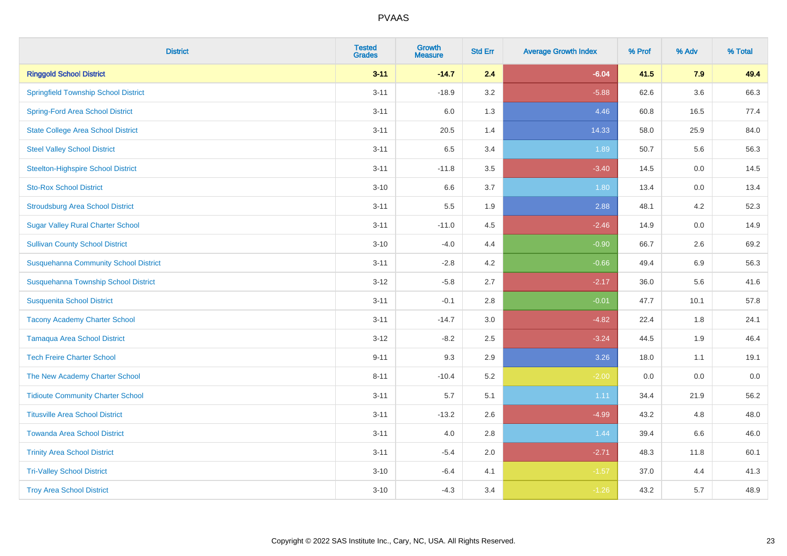| <b>District</b>                              | <b>Tested</b><br><b>Grades</b> | <b>Growth</b><br><b>Measure</b> | <b>Std Err</b> | <b>Average Growth Index</b> | % Prof | % Adv   | % Total |
|----------------------------------------------|--------------------------------|---------------------------------|----------------|-----------------------------|--------|---------|---------|
| <b>Ringgold School District</b>              | $3 - 11$                       | $-14.7$                         | 2.4            | $-6.04$                     | 41.5   | 7.9     | 49.4    |
| <b>Springfield Township School District</b>  | $3 - 11$                       | $-18.9$                         | 3.2            | $-5.88$                     | 62.6   | $3.6\,$ | 66.3    |
| <b>Spring-Ford Area School District</b>      | $3 - 11$                       | 6.0                             | 1.3            | 4.46                        | 60.8   | 16.5    | 77.4    |
| <b>State College Area School District</b>    | $3 - 11$                       | 20.5                            | 1.4            | 14.33                       | 58.0   | 25.9    | 84.0    |
| <b>Steel Valley School District</b>          | $3 - 11$                       | 6.5                             | 3.4            | 1.89                        | 50.7   | 5.6     | 56.3    |
| <b>Steelton-Highspire School District</b>    | $3 - 11$                       | $-11.8$                         | 3.5            | $-3.40$                     | 14.5   | 0.0     | 14.5    |
| <b>Sto-Rox School District</b>               | $3 - 10$                       | 6.6                             | 3.7            | 1.80                        | 13.4   | 0.0     | 13.4    |
| <b>Stroudsburg Area School District</b>      | $3 - 11$                       | 5.5                             | 1.9            | 2.88                        | 48.1   | 4.2     | 52.3    |
| <b>Sugar Valley Rural Charter School</b>     | $3 - 11$                       | $-11.0$                         | 4.5            | $-2.46$                     | 14.9   | 0.0     | 14.9    |
| <b>Sullivan County School District</b>       | $3 - 10$                       | $-4.0$                          | 4.4            | $-0.90$                     | 66.7   | $2.6\,$ | 69.2    |
| <b>Susquehanna Community School District</b> | $3 - 11$                       | $-2.8$                          | 4.2            | $-0.66$                     | 49.4   | 6.9     | 56.3    |
| Susquehanna Township School District         | $3 - 12$                       | $-5.8$                          | 2.7            | $-2.17$                     | 36.0   | 5.6     | 41.6    |
| <b>Susquenita School District</b>            | $3 - 11$                       | $-0.1$                          | 2.8            | $-0.01$                     | 47.7   | 10.1    | 57.8    |
| <b>Tacony Academy Charter School</b>         | $3 - 11$                       | $-14.7$                         | 3.0            | $-4.82$                     | 22.4   | 1.8     | 24.1    |
| <b>Tamaqua Area School District</b>          | $3 - 12$                       | $-8.2$                          | 2.5            | $-3.24$                     | 44.5   | 1.9     | 46.4    |
| <b>Tech Freire Charter School</b>            | $9 - 11$                       | 9.3                             | 2.9            | 3.26                        | 18.0   | 1.1     | 19.1    |
| The New Academy Charter School               | $8 - 11$                       | $-10.4$                         | 5.2            | $-2.00$                     | 0.0    | 0.0     | $0.0\,$ |
| <b>Tidioute Community Charter School</b>     | $3 - 11$                       | 5.7                             | 5.1            | 1.11                        | 34.4   | 21.9    | 56.2    |
| <b>Titusville Area School District</b>       | $3 - 11$                       | $-13.2$                         | 2.6            | $-4.99$                     | 43.2   | 4.8     | 48.0    |
| <b>Towanda Area School District</b>          | $3 - 11$                       | 4.0                             | 2.8            | 1.44                        | 39.4   | 6.6     | 46.0    |
| <b>Trinity Area School District</b>          | $3 - 11$                       | $-5.4$                          | 2.0            | $-2.71$                     | 48.3   | 11.8    | 60.1    |
| <b>Tri-Valley School District</b>            | $3 - 10$                       | $-6.4$                          | 4.1            | $-1.57$                     | 37.0   | 4.4     | 41.3    |
| <b>Troy Area School District</b>             | $3 - 10$                       | $-4.3$                          | 3.4            | $-1.26$                     | 43.2   | 5.7     | 48.9    |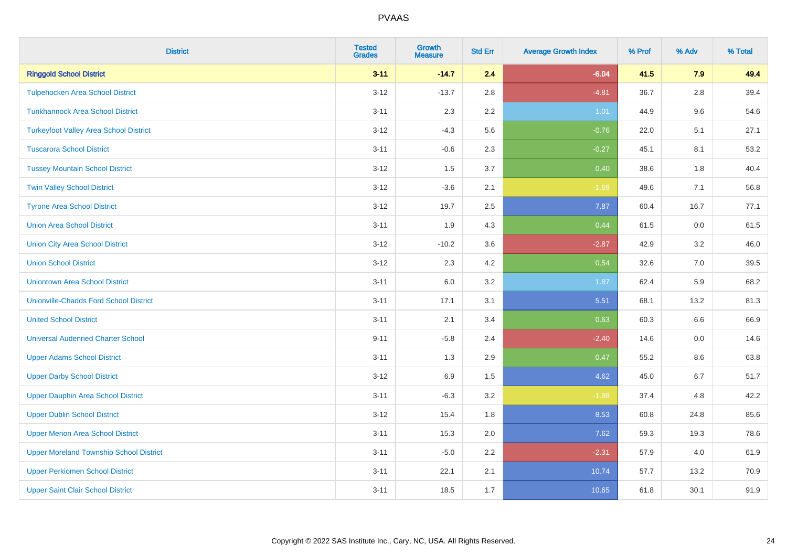| <b>District</b>                                | <b>Tested</b><br><b>Grades</b> | <b>Growth</b><br><b>Measure</b> | <b>Std Err</b> | <b>Average Growth Index</b> | % Prof | % Adv   | % Total |
|------------------------------------------------|--------------------------------|---------------------------------|----------------|-----------------------------|--------|---------|---------|
| <b>Ringgold School District</b>                | $3 - 11$                       | $-14.7$                         | 2.4            | $-6.04$                     | 41.5   | 7.9     | 49.4    |
| <b>Tulpehocken Area School District</b>        | $3 - 12$                       | $-13.7$                         | 2.8            | $-4.81$                     | 36.7   | $2.8\,$ | 39.4    |
| <b>Tunkhannock Area School District</b>        | $3 - 11$                       | 2.3                             | 2.2            | 1.01                        | 44.9   | 9.6     | 54.6    |
| <b>Turkeyfoot Valley Area School District</b>  | $3 - 12$                       | $-4.3$                          | 5.6            | $-0.76$                     | 22.0   | 5.1     | 27.1    |
| <b>Tuscarora School District</b>               | $3 - 11$                       | $-0.6$                          | 2.3            | $-0.27$                     | 45.1   | 8.1     | 53.2    |
| <b>Tussey Mountain School District</b>         | $3 - 12$                       | 1.5                             | 3.7            | 0.40                        | 38.6   | 1.8     | 40.4    |
| <b>Twin Valley School District</b>             | $3 - 12$                       | $-3.6$                          | 2.1            | $-1.69$                     | 49.6   | 7.1     | 56.8    |
| <b>Tyrone Area School District</b>             | $3 - 12$                       | 19.7                            | 2.5            | 7.87                        | 60.4   | 16.7    | 77.1    |
| <b>Union Area School District</b>              | $3 - 11$                       | 1.9                             | 4.3            | 0.44                        | 61.5   | 0.0     | 61.5    |
| <b>Union City Area School District</b>         | $3 - 12$                       | $-10.2$                         | 3.6            | $-2.87$                     | 42.9   | 3.2     | 46.0    |
| <b>Union School District</b>                   | $3 - 12$                       | 2.3                             | 4.2            | 0.54                        | 32.6   | 7.0     | 39.5    |
| <b>Uniontown Area School District</b>          | $3 - 11$                       | 6.0                             | 3.2            | 1.87                        | 62.4   | 5.9     | 68.2    |
| <b>Unionville-Chadds Ford School District</b>  | $3 - 11$                       | 17.1                            | 3.1            | 5.51                        | 68.1   | 13.2    | 81.3    |
| <b>United School District</b>                  | $3 - 11$                       | 2.1                             | 3.4            | 0.63                        | 60.3   | 6.6     | 66.9    |
| <b>Universal Audenried Charter School</b>      | $9 - 11$                       | $-5.8$                          | 2.4            | $-2.40$                     | 14.6   | 0.0     | 14.6    |
| <b>Upper Adams School District</b>             | $3 - 11$                       | 1.3                             | 2.9            | 0.47                        | 55.2   | $8.6\,$ | 63.8    |
| <b>Upper Darby School District</b>             | $3 - 12$                       | 6.9                             | 1.5            | 4.62                        | 45.0   | 6.7     | 51.7    |
| <b>Upper Dauphin Area School District</b>      | $3 - 11$                       | $-6.3$                          | 3.2            | $-1.98$                     | 37.4   | 4.8     | 42.2    |
| <b>Upper Dublin School District</b>            | $3 - 12$                       | 15.4                            | 1.8            | 8.53                        | 60.8   | 24.8    | 85.6    |
| <b>Upper Merion Area School District</b>       | $3 - 11$                       | 15.3                            | 2.0            | 7.62                        | 59.3   | 19.3    | 78.6    |
| <b>Upper Moreland Township School District</b> | $3 - 11$                       | $-5.0$                          | 2.2            | $-2.31$                     | 57.9   | 4.0     | 61.9    |
| <b>Upper Perkiomen School District</b>         | $3 - 11$                       | 22.1                            | 2.1            | 10.74                       | 57.7   | 13.2    | 70.9    |
| <b>Upper Saint Clair School District</b>       | $3 - 11$                       | 18.5                            | 1.7            | 10.65                       | 61.8   | 30.1    | 91.9    |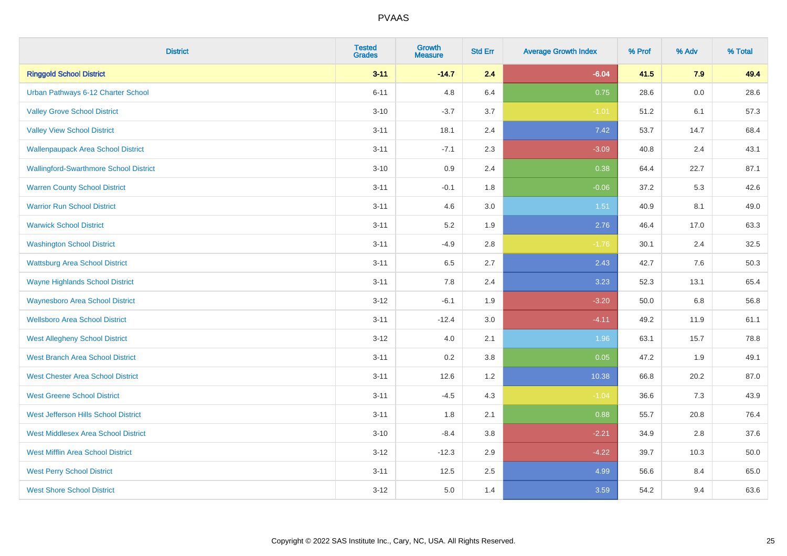| <b>District</b>                               | <b>Tested</b><br><b>Grades</b> | <b>Growth</b><br><b>Measure</b> | <b>Std Err</b> | <b>Average Growth Index</b> | % Prof | % Adv   | % Total |
|-----------------------------------------------|--------------------------------|---------------------------------|----------------|-----------------------------|--------|---------|---------|
| <b>Ringgold School District</b>               | $3 - 11$                       | $-14.7$                         | 2.4            | $-6.04$                     | 41.5   | 7.9     | 49.4    |
| Urban Pathways 6-12 Charter School            | $6 - 11$                       | 4.8                             | 6.4            | 0.75                        | 28.6   | $0.0\,$ | 28.6    |
| <b>Valley Grove School District</b>           | $3 - 10$                       | $-3.7$                          | 3.7            | $-1.01$                     | 51.2   | 6.1     | 57.3    |
| <b>Valley View School District</b>            | $3 - 11$                       | 18.1                            | 2.4            | 7.42                        | 53.7   | 14.7    | 68.4    |
| <b>Wallenpaupack Area School District</b>     | $3 - 11$                       | $-7.1$                          | 2.3            | $-3.09$                     | 40.8   | 2.4     | 43.1    |
| <b>Wallingford-Swarthmore School District</b> | $3 - 10$                       | 0.9                             | 2.4            | 0.38                        | 64.4   | 22.7    | 87.1    |
| <b>Warren County School District</b>          | $3 - 11$                       | $-0.1$                          | 1.8            | $-0.06$                     | 37.2   | 5.3     | 42.6    |
| <b>Warrior Run School District</b>            | $3 - 11$                       | 4.6                             | 3.0            | 1.51                        | 40.9   | 8.1     | 49.0    |
| <b>Warwick School District</b>                | $3 - 11$                       | 5.2                             | 1.9            | 2.76                        | 46.4   | 17.0    | 63.3    |
| <b>Washington School District</b>             | $3 - 11$                       | $-4.9$                          | 2.8            | $-1.76$                     | 30.1   | 2.4     | 32.5    |
| <b>Wattsburg Area School District</b>         | $3 - 11$                       | 6.5                             | 2.7            | 2.43                        | 42.7   | 7.6     | 50.3    |
| <b>Wayne Highlands School District</b>        | $3 - 11$                       | 7.8                             | 2.4            | 3.23                        | 52.3   | 13.1    | 65.4    |
| <b>Waynesboro Area School District</b>        | $3 - 12$                       | $-6.1$                          | 1.9            | $-3.20$                     | 50.0   | $6.8\,$ | 56.8    |
| <b>Wellsboro Area School District</b>         | $3 - 11$                       | $-12.4$                         | 3.0            | $-4.11$                     | 49.2   | 11.9    | 61.1    |
| <b>West Allegheny School District</b>         | $3 - 12$                       | $4.0\,$                         | 2.1            | 1.96                        | 63.1   | 15.7    | 78.8    |
| <b>West Branch Area School District</b>       | $3 - 11$                       | 0.2                             | 3.8            | 0.05                        | 47.2   | 1.9     | 49.1    |
| <b>West Chester Area School District</b>      | $3 - 11$                       | 12.6                            | 1.2            | 10.38                       | 66.8   | 20.2    | 87.0    |
| <b>West Greene School District</b>            | $3 - 11$                       | $-4.5$                          | 4.3            | $-1.04$                     | 36.6   | 7.3     | 43.9    |
| West Jefferson Hills School District          | $3 - 11$                       | 1.8                             | 2.1            | 0.88                        | 55.7   | 20.8    | 76.4    |
| <b>West Middlesex Area School District</b>    | $3 - 10$                       | $-8.4$                          | 3.8            | $-2.21$                     | 34.9   | 2.8     | 37.6    |
| <b>West Mifflin Area School District</b>      | $3 - 12$                       | $-12.3$                         | 2.9            | $-4.22$                     | 39.7   | 10.3    | 50.0    |
| <b>West Perry School District</b>             | $3 - 11$                       | 12.5                            | 2.5            | 4.99                        | 56.6   | 8.4     | 65.0    |
| <b>West Shore School District</b>             | $3 - 12$                       | 5.0                             | 1.4            | 3.59                        | 54.2   | 9.4     | 63.6    |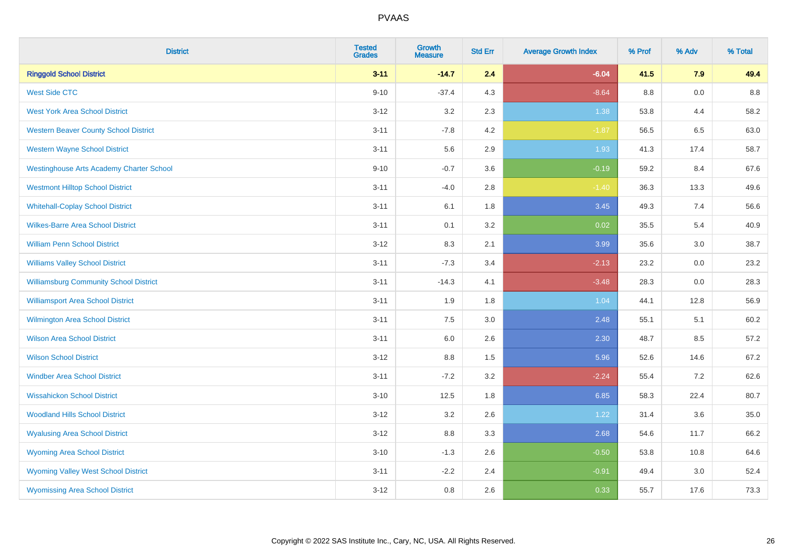| <b>District</b>                                 | <b>Tested</b><br><b>Grades</b> | <b>Growth</b><br><b>Measure</b> | <b>Std Err</b> | <b>Average Growth Index</b> | % Prof  | % Adv   | % Total |
|-------------------------------------------------|--------------------------------|---------------------------------|----------------|-----------------------------|---------|---------|---------|
| <b>Ringgold School District</b>                 | $3 - 11$                       | $-14.7$                         | 2.4            | $-6.04$                     | 41.5    | 7.9     | 49.4    |
| <b>West Side CTC</b>                            | $9 - 10$                       | $-37.4$                         | 4.3            | $-8.64$                     | $8.8\,$ | $0.0\,$ | $8.8\,$ |
| <b>West York Area School District</b>           | $3 - 12$                       | 3.2                             | 2.3            | 1.38                        | 53.8    | 4.4     | 58.2    |
| <b>Western Beaver County School District</b>    | $3 - 11$                       | $-7.8$                          | 4.2            | $-1.87$                     | 56.5    | 6.5     | 63.0    |
| <b>Western Wayne School District</b>            | $3 - 11$                       | 5.6                             | 2.9            | 1.93                        | 41.3    | 17.4    | 58.7    |
| <b>Westinghouse Arts Academy Charter School</b> | $9 - 10$                       | $-0.7$                          | 3.6            | $-0.19$                     | 59.2    | 8.4     | 67.6    |
| <b>Westmont Hilltop School District</b>         | $3 - 11$                       | $-4.0$                          | 2.8            | $-1.40$                     | 36.3    | 13.3    | 49.6    |
| <b>Whitehall-Coplay School District</b>         | $3 - 11$                       | 6.1                             | 1.8            | 3.45                        | 49.3    | 7.4     | 56.6    |
| <b>Wilkes-Barre Area School District</b>        | $3 - 11$                       | 0.1                             | 3.2            | 0.02                        | 35.5    | 5.4     | 40.9    |
| <b>William Penn School District</b>             | $3 - 12$                       | 8.3                             | 2.1            | 3.99                        | 35.6    | 3.0     | 38.7    |
| <b>Williams Valley School District</b>          | $3 - 11$                       | $-7.3$                          | 3.4            | $-2.13$                     | 23.2    | 0.0     | 23.2    |
| <b>Williamsburg Community School District</b>   | $3 - 11$                       | $-14.3$                         | 4.1            | $-3.48$                     | 28.3    | 0.0     | 28.3    |
| <b>Williamsport Area School District</b>        | $3 - 11$                       | 1.9                             | 1.8            | 1.04                        | 44.1    | 12.8    | 56.9    |
| <b>Wilmington Area School District</b>          | $3 - 11$                       | 7.5                             | 3.0            | 2.48                        | 55.1    | 5.1     | 60.2    |
| <b>Wilson Area School District</b>              | $3 - 11$                       | 6.0                             | 2.6            | 2.30                        | 48.7    | 8.5     | 57.2    |
| <b>Wilson School District</b>                   | $3 - 12$                       | 8.8                             | 1.5            | 5.96                        | 52.6    | 14.6    | 67.2    |
| <b>Windber Area School District</b>             | $3 - 11$                       | $-7.2$                          | 3.2            | $-2.24$                     | 55.4    | 7.2     | 62.6    |
| <b>Wissahickon School District</b>              | $3 - 10$                       | 12.5                            | 1.8            | 6.85                        | 58.3    | 22.4    | 80.7    |
| <b>Woodland Hills School District</b>           | $3 - 12$                       | 3.2                             | 2.6            | 1.22                        | 31.4    | 3.6     | 35.0    |
| <b>Wyalusing Area School District</b>           | $3 - 12$                       | $8.8\,$                         | 3.3            | 2.68                        | 54.6    | 11.7    | 66.2    |
| <b>Wyoming Area School District</b>             | $3 - 10$                       | $-1.3$                          | 2.6            | $-0.50$                     | 53.8    | 10.8    | 64.6    |
| <b>Wyoming Valley West School District</b>      | $3 - 11$                       | $-2.2$                          | 2.4            | $-0.91$                     | 49.4    | 3.0     | 52.4    |
| <b>Wyomissing Area School District</b>          | $3 - 12$                       | 0.8                             | 2.6            | 0.33                        | 55.7    | 17.6    | 73.3    |